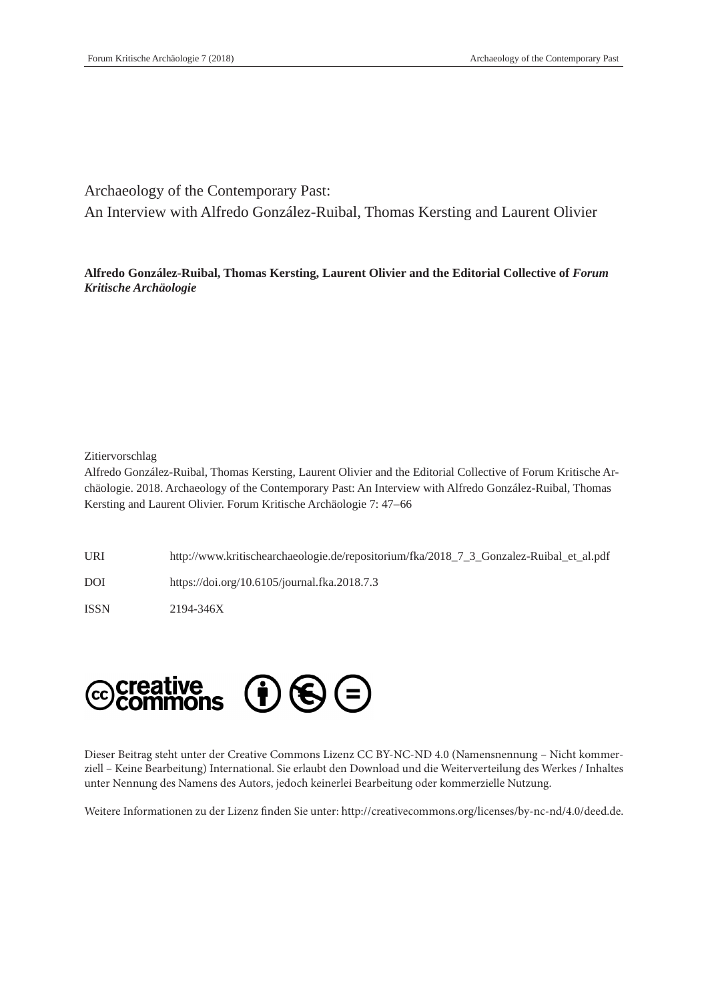Archaeology of the Contemporary Past:

An Interview with Alfredo González-Ruibal, Thomas Kersting and Laurent Olivier

**Alfredo González-Ruibal, Thomas Kersting, Laurent Olivier and the Editorial Collective of** *Forum Kritische Archäologie*

# Zitiervorschlag

Alfredo González-Ruibal, Thomas Kersting, Laurent Olivier and the Editorial Collective of Forum Kritische Archäologie. 2018. Archaeology of the Contemporary Past: An Interview with Alfredo González-Ruibal, Thomas Kersting and Laurent Olivier. Forum Kritische Archäologie 7: 47–66

URI http://www.kritischearchaeologie.de/repositorium/fka/2018\_7\_3\_Gonzalez-Ruibal\_et\_al.pdf DOI https://doi.org/10.6105/journal.fka.2018.7.3 ISSN 2194-346X



Dieser Beitrag steht unter der Creative Commons Lizenz CC BY-NC-ND 4.0 (Namensnennung – Nicht kommerziell – Keine Bearbeitung) International. Sie erlaubt den Download und die Weiterverteilung des Werkes / Inhaltes unter Nennung des Namens des Autors, jedoch keinerlei Bearbeitung oder kommerzielle Nutzung.

Weitere Informationen zu der Lizenz finden Sie unter: http://creativecommons.org/licenses/by-nc-nd/4.0/deed.de.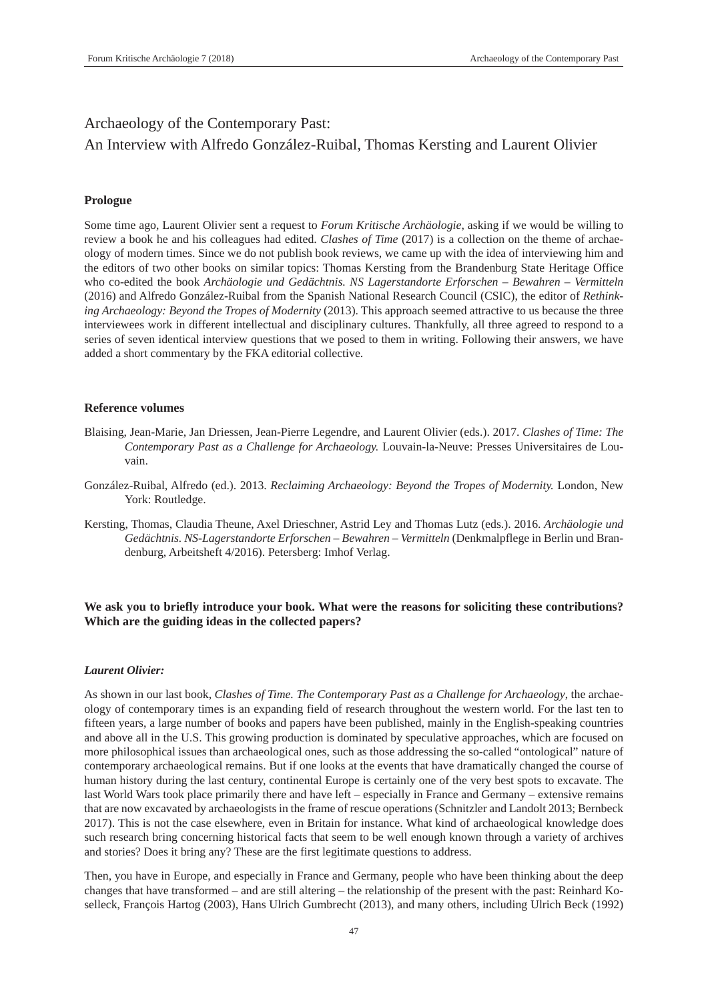# Archaeology of the Contemporary Past:

# An Interview with Alfredo González-Ruibal, Thomas Kersting and Laurent Olivier

# **Prologue**

Some time ago, Laurent Olivier sent a request to *Forum Kritische Archäologie*, asking if we would be willing to review a book he and his colleagues had edited. *Clashes of Time* (2017) is a collection on the theme of archaeology of modern times. Since we do not publish book reviews, we came up with the idea of interviewing him and the editors of two other books on similar topics: Thomas Kersting from the Brandenburg State Heritage Office who co-edited the book *Archäologie und Gedächtnis. NS Lagerstandorte Erforschen – Bewahren – Vermitteln*  (2016) and Alfredo González-Ruibal from the Spanish National Research Council (CSIC), the editor of *Rethinking Archaeology: Beyond the Tropes of Modernity* (2013). This approach seemed attractive to us because the three interviewees work in different intellectual and disciplinary cultures. Thankfully, all three agreed to respond to a series of seven identical interview questions that we posed to them in writing. Following their answers, we have added a short commentary by the FKA editorial collective.

# **Reference volumes**

- Blaising, Jean-Marie, Jan Driessen, Jean-Pierre Legendre, and Laurent Olivier (eds.). 2017. *Clashes of Time: The Contemporary Past as a Challenge for Archaeology.* Louvain-la-Neuve: Presses Universitaires de Louvain.
- González-Ruibal, Alfredo (ed.). 2013. *Reclaiming Archaeology: Beyond the Tropes of Modernity.* London, New York: Routledge.
- Kersting, Thomas, Claudia Theune, Axel Drieschner, Astrid Ley and Thomas Lutz (eds.). 2016. *Archäologie und Gedächtnis. NS-Lagerstandorte Erforschen – Bewahren – Vermitteln* (Denkmalpflege in Berlin und Brandenburg, Arbeitsheft 4/2016). Petersberg: Imhof Verlag.

# **We ask you to briefly introduce your book. What were the reasons for soliciting these contributions? Which are the guiding ideas in the collected papers?**

# *Laurent Olivier:*

As shown in our last book, *Clashes of Time. The Contemporary Past as a Challenge for Archaeology*, the archaeology of contemporary times is an expanding field of research throughout the western world. For the last ten to fifteen years, a large number of books and papers have been published, mainly in the English-speaking countries and above all in the U.S. This growing production is dominated by speculative approaches, which are focused on more philosophical issues than archaeological ones, such as those addressing the so-called "ontological" nature of contemporary archaeological remains. But if one looks at the events that have dramatically changed the course of human history during the last century, continental Europe is certainly one of the very best spots to excavate. The last World Wars took place primarily there and have left – especially in France and Germany – extensive remains that are now excavated by archaeologists in the frame of rescue operations (Schnitzler and Landolt 2013; Bernbeck 2017). This is not the case elsewhere, even in Britain for instance. What kind of archaeological knowledge does such research bring concerning historical facts that seem to be well enough known through a variety of archives and stories? Does it bring any? These are the first legitimate questions to address.

Then, you have in Europe, and especially in France and Germany, people who have been thinking about the deep changes that have transformed – and are still altering – the relationship of the present with the past: Reinhard Koselleck, François Hartog (2003), Hans Ulrich Gumbrecht (2013), and many others, including Ulrich Beck (1992)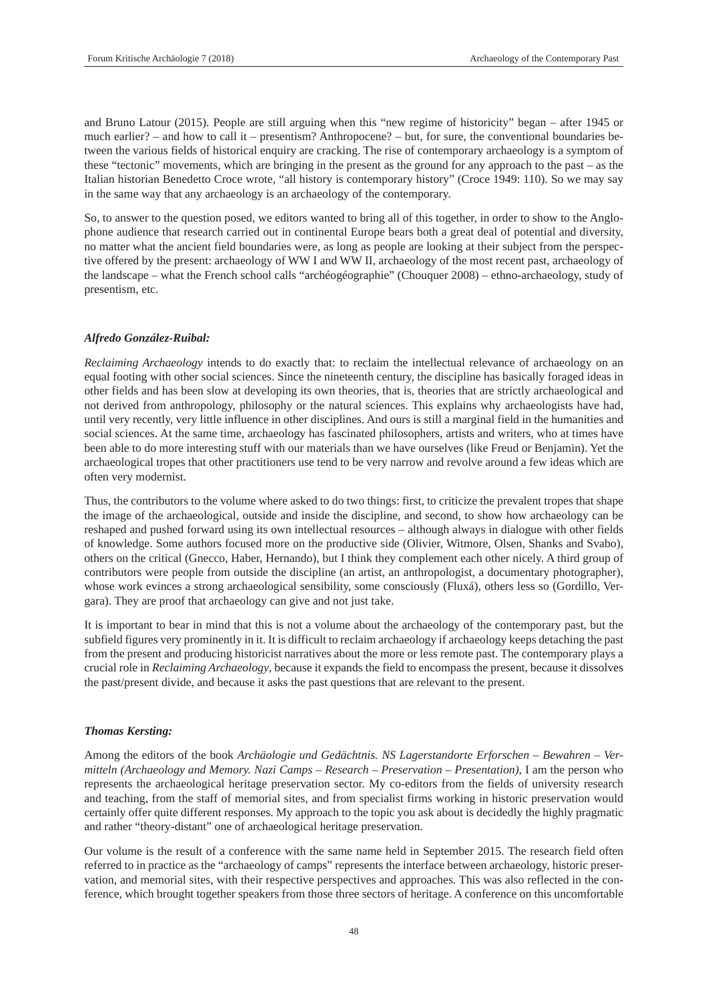and Bruno Latour (2015). People are still arguing when this "new regime of historicity" began – after 1945 or much earlier? – and how to call it – presentism? Anthropocene? – but, for sure, the conventional boundaries between the various fields of historical enquiry are cracking. The rise of contemporary archaeology is a symptom of these "tectonic" movements, which are bringing in the present as the ground for any approach to the past – as the Italian historian Benedetto Croce wrote, "all history is contemporary history" (Croce 1949: 110). So we may say in the same way that any archaeology is an archaeology of the contemporary.

So, to answer to the question posed, we editors wanted to bring all of this together, in order to show to the Anglophone audience that research carried out in continental Europe bears both a great deal of potential and diversity, no matter what the ancient field boundaries were, as long as people are looking at their subject from the perspective offered by the present: archaeology of WW I and WW II, archaeology of the most recent past, archaeology of the landscape – what the French school calls "archéogéographie" (Chouquer 2008) – ethno-archaeology, study of presentism, etc.

# *Alfredo González-Ruibal:*

*Reclaiming Archaeology* intends to do exactly that: to reclaim the intellectual relevance of archaeology on an equal footing with other social sciences. Since the nineteenth century, the discipline has basically foraged ideas in other fields and has been slow at developing its own theories, that is, theories that are strictly archaeological and not derived from anthropology, philosophy or the natural sciences. This explains why archaeologists have had, until very recently, very little influence in other disciplines. And ours is still a marginal field in the humanities and social sciences. At the same time, archaeology has fascinated philosophers, artists and writers, who at times have been able to do more interesting stuff with our materials than we have ourselves (like Freud or Benjamin). Yet the archaeological tropes that other practitioners use tend to be very narrow and revolve around a few ideas which are often very modernist.

Thus, the contributors to the volume where asked to do two things: first, to criticize the prevalent tropes that shape the image of the archaeological, outside and inside the discipline, and second, to show how archaeology can be reshaped and pushed forward using its own intellectual resources – although always in dialogue with other fields of knowledge. Some authors focused more on the productive side (Olivier, Witmore, Olsen, Shanks and Svabo), others on the critical (Gnecco, Haber, Hernando), but I think they complement each other nicely. A third group of contributors were people from outside the discipline (an artist, an anthropologist, a documentary photographer), whose work evinces a strong archaeological sensibility, some consciously (Fluxá), others less so (Gordillo, Vergara). They are proof that archaeology can give and not just take.

It is important to bear in mind that this is not a volume about the archaeology of the contemporary past, but the subfield figures very prominently in it. It is difficult to reclaim archaeology if archaeology keeps detaching the past from the present and producing historicist narratives about the more or less remote past. The contemporary plays a crucial role in *Reclaiming Archaeology*, because it expands the field to encompass the present, because it dissolves the past/present divide, and because it asks the past questions that are relevant to the present.

#### *Thomas Kersting:*

Among the editors of the book *Archäologie und Gedächtnis. NS Lagerstandorte Erforschen – Bewahren – Vermitteln (Archaeology and Memory. Nazi Camps – Research – Preservation – Presentation)*, I am the person who represents the archaeological heritage preservation sector. My co-editors from the fields of university research and teaching, from the staff of memorial sites, and from specialist firms working in historic preservation would certainly offer quite different responses. My approach to the topic you ask about is decidedly the highly pragmatic and rather "theory-distant" one of archaeological heritage preservation.

Our volume is the result of a conference with the same name held in September 2015. The research field often referred to in practice as the "archaeology of camps" represents the interface between archaeology, historic preservation, and memorial sites, with their respective perspectives and approaches. This was also reflected in the conference, which brought together speakers from those three sectors of heritage. A conference on this uncomfortable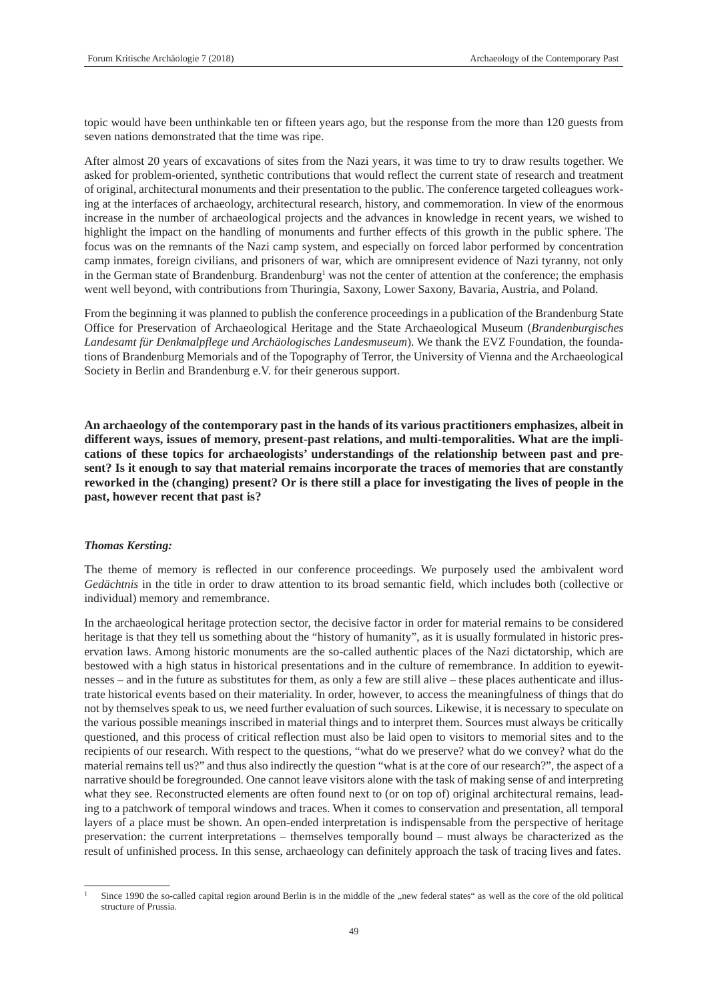topic would have been unthinkable ten or fifteen years ago, but the response from the more than 120 guests from seven nations demonstrated that the time was ripe.

After almost 20 years of excavations of sites from the Nazi years, it was time to try to draw results together. We asked for problem-oriented, synthetic contributions that would reflect the current state of research and treatment of original, architectural monuments and their presentation to the public. The conference targeted colleagues working at the interfaces of archaeology, architectural research, history, and commemoration. In view of the enormous increase in the number of archaeological projects and the advances in knowledge in recent years, we wished to highlight the impact on the handling of monuments and further effects of this growth in the public sphere. The focus was on the remnants of the Nazi camp system, and especially on forced labor performed by concentration camp inmates, foreign civilians, and prisoners of war, which are omnipresent evidence of Nazi tyranny, not only in the German state of Brandenburg. Brandenburg<sup>1</sup> was not the center of attention at the conference; the emphasis went well beyond, with contributions from Thuringia, Saxony, Lower Saxony, Bavaria, Austria, and Poland.

From the beginning it was planned to publish the conference proceedings in a publication of the Brandenburg State Office for Preservation of Archaeological Heritage and the State Archaeological Museum (*Brandenburgisches Landesamt für Denkmalpflege und Archäologisches Landesmuseum*). We thank the EVZ Foundation, the foundations of Brandenburg Memorials and of the Topography of Terror, the University of Vienna and the Archaeological Society in Berlin and Brandenburg e.V. for their generous support.

**An archaeology of the contemporary past in the hands of its various practitioners emphasizes, albeit in different ways, issues of memory, present-past relations, and multi-temporalities. What are the implications of these topics for archaeologists' understandings of the relationship between past and present? Is it enough to say that material remains incorporate the traces of memories that are constantly reworked in the (changing) present? Or is there still a place for investigating the lives of people in the past, however recent that past is?**

#### *Thomas Kersting:*

The theme of memory is reflected in our conference proceedings. We purposely used the ambivalent word *Gedächtnis* in the title in order to draw attention to its broad semantic field, which includes both (collective or individual) memory and remembrance.

In the archaeological heritage protection sector, the decisive factor in order for material remains to be considered heritage is that they tell us something about the "history of humanity", as it is usually formulated in historic preservation laws. Among historic monuments are the so-called authentic places of the Nazi dictatorship, which are bestowed with a high status in historical presentations and in the culture of remembrance. In addition to eyewitnesses – and in the future as substitutes for them, as only a few are still alive – these places authenticate and illustrate historical events based on their materiality. In order, however, to access the meaningfulness of things that do not by themselves speak to us, we need further evaluation of such sources. Likewise, it is necessary to speculate on the various possible meanings inscribed in material things and to interpret them. Sources must always be critically questioned, and this process of critical reflection must also be laid open to visitors to memorial sites and to the recipients of our research. With respect to the questions, "what do we preserve? what do we convey? what do the material remains tell us?" and thus also indirectly the question "what is at the core of our research?", the aspect of a narrative should be foregrounded. One cannot leave visitors alone with the task of making sense of and interpreting what they see. Reconstructed elements are often found next to (or on top of) original architectural remains, leading to a patchwork of temporal windows and traces. When it comes to conservation and presentation, all temporal layers of a place must be shown. An open-ended interpretation is indispensable from the perspective of heritage preservation: the current interpretations – themselves temporally bound – must always be characterized as the result of unfinished process. In this sense, archaeology can definitely approach the task of tracing lives and fates.

Since 1990 the so-called capital region around Berlin is in the middle of the "new federal states" as well as the core of the old political structure of Prussia.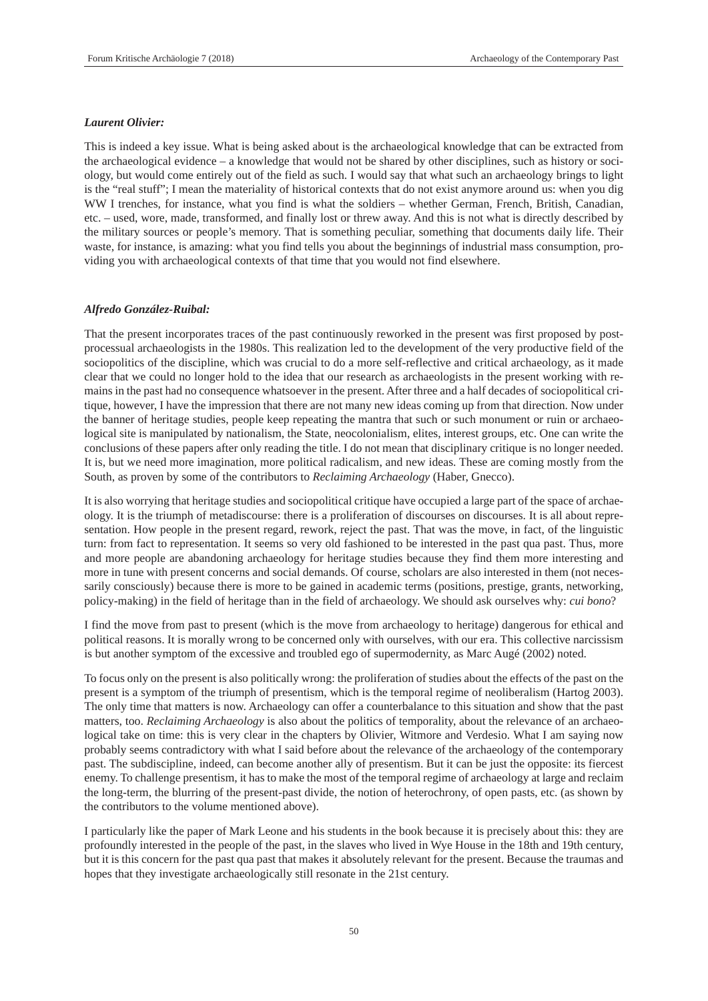# *Laurent Olivier:*

This is indeed a key issue. What is being asked about is the archaeological knowledge that can be extracted from the archaeological evidence – a knowledge that would not be shared by other disciplines, such as history or sociology, but would come entirely out of the field as such. I would say that what such an archaeology brings to light is the "real stuff"; I mean the materiality of historical contexts that do not exist anymore around us: when you dig WW I trenches, for instance, what you find is what the soldiers – whether German, French, British, Canadian, etc. – used, wore, made, transformed, and finally lost or threw away. And this is not what is directly described by the military sources or people's memory. That is something peculiar, something that documents daily life. Their waste, for instance, is amazing: what you find tells you about the beginnings of industrial mass consumption, providing you with archaeological contexts of that time that you would not find elsewhere.

#### *Alfredo González-Ruibal:*

That the present incorporates traces of the past continuously reworked in the present was first proposed by postprocessual archaeologists in the 1980s. This realization led to the development of the very productive field of the sociopolitics of the discipline, which was crucial to do a more self-reflective and critical archaeology, as it made clear that we could no longer hold to the idea that our research as archaeologists in the present working with remains in the past had no consequence whatsoever in the present. After three and a half decades of sociopolitical critique, however, I have the impression that there are not many new ideas coming up from that direction. Now under the banner of heritage studies, people keep repeating the mantra that such or such monument or ruin or archaeological site is manipulated by nationalism, the State, neocolonialism, elites, interest groups, etc. One can write the conclusions of these papers after only reading the title. I do not mean that disciplinary critique is no longer needed. It is, but we need more imagination, more political radicalism, and new ideas. These are coming mostly from the South, as proven by some of the contributors to *Reclaiming Archaeology* (Haber, Gnecco).

It is also worrying that heritage studies and sociopolitical critique have occupied a large part of the space of archaeology. It is the triumph of metadiscourse: there is a proliferation of discourses on discourses. It is all about representation. How people in the present regard, rework, reject the past. That was the move, in fact, of the linguistic turn: from fact to representation. It seems so very old fashioned to be interested in the past qua past. Thus, more and more people are abandoning archaeology for heritage studies because they find them more interesting and more in tune with present concerns and social demands. Of course, scholars are also interested in them (not necessarily consciously) because there is more to be gained in academic terms (positions, prestige, grants, networking, policy-making) in the field of heritage than in the field of archaeology. We should ask ourselves why: *cui bono*?

I find the move from past to present (which is the move from archaeology to heritage) dangerous for ethical and political reasons. It is morally wrong to be concerned only with ourselves, with our era. This collective narcissism is but another symptom of the excessive and troubled ego of supermodernity, as Marc Augé (2002) noted.

To focus only on the present is also politically wrong: the proliferation of studies about the effects of the past on the present is a symptom of the triumph of presentism, which is the temporal regime of neoliberalism (Hartog 2003). The only time that matters is now. Archaeology can offer a counterbalance to this situation and show that the past matters, too. *Reclaiming Archaeology* is also about the politics of temporality, about the relevance of an archaeological take on time: this is very clear in the chapters by Olivier, Witmore and Verdesio. What I am saying now probably seems contradictory with what I said before about the relevance of the archaeology of the contemporary past. The subdiscipline, indeed, can become another ally of presentism. But it can be just the opposite: its fiercest enemy. To challenge presentism, it has to make the most of the temporal regime of archaeology at large and reclaim the long-term, the blurring of the present-past divide, the notion of heterochrony, of open pasts, etc. (as shown by the contributors to the volume mentioned above).

I particularly like the paper of Mark Leone and his students in the book because it is precisely about this: they are profoundly interested in the people of the past, in the slaves who lived in Wye House in the 18th and 19th century, but it is this concern for the past qua past that makes it absolutely relevant for the present. Because the traumas and hopes that they investigate archaeologically still resonate in the 21st century.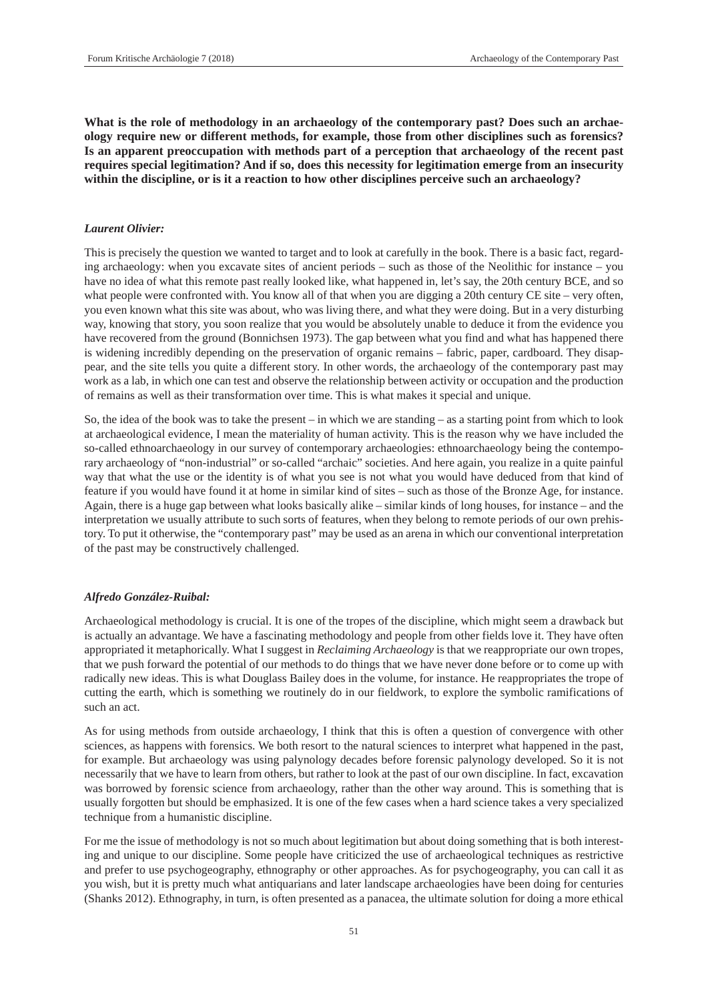**What is the role of methodology in an archaeology of the contemporary past? Does such an archaeology require new or different methods, for example, those from other disciplines such as forensics? Is an apparent preoccupation with methods part of a perception that archaeology of the recent past requires special legitimation? And if so, does this necessity for legitimation emerge from an insecurity within the discipline, or is it a reaction to how other disciplines perceive such an archaeology?**

# *Laurent Olivier:*

This is precisely the question we wanted to target and to look at carefully in the book. There is a basic fact, regarding archaeology: when you excavate sites of ancient periods – such as those of the Neolithic for instance – you have no idea of what this remote past really looked like, what happened in, let's say, the 20th century BCE, and so what people were confronted with. You know all of that when you are digging a 20th century CE site – very often, you even known what this site was about, who was living there, and what they were doing. But in a very disturbing way, knowing that story, you soon realize that you would be absolutely unable to deduce it from the evidence you have recovered from the ground (Bonnichsen 1973). The gap between what you find and what has happened there is widening incredibly depending on the preservation of organic remains – fabric, paper, cardboard. They disappear, and the site tells you quite a different story. In other words, the archaeology of the contemporary past may work as a lab, in which one can test and observe the relationship between activity or occupation and the production of remains as well as their transformation over time. This is what makes it special and unique.

So, the idea of the book was to take the present – in which we are standing – as a starting point from which to look at archaeological evidence, I mean the materiality of human activity. This is the reason why we have included the so-called ethnoarchaeology in our survey of contemporary archaeologies: ethnoarchaeology being the contemporary archaeology of "non-industrial" or so-called "archaic" societies. And here again, you realize in a quite painful way that what the use or the identity is of what you see is not what you would have deduced from that kind of feature if you would have found it at home in similar kind of sites – such as those of the Bronze Age, for instance. Again, there is a huge gap between what looks basically alike – similar kinds of long houses, for instance – and the interpretation we usually attribute to such sorts of features, when they belong to remote periods of our own prehistory. To put it otherwise, the "contemporary past" may be used as an arena in which our conventional interpretation of the past may be constructively challenged.

# *Alfredo González-Ruibal:*

Archaeological methodology is crucial. It is one of the tropes of the discipline, which might seem a drawback but is actually an advantage. We have a fascinating methodology and people from other fields love it. They have often appropriated it metaphorically. What I suggest in *Reclaiming Archaeology* is that we reappropriate our own tropes, that we push forward the potential of our methods to do things that we have never done before or to come up with radically new ideas. This is what Douglass Bailey does in the volume, for instance. He reappropriates the trope of cutting the earth, which is something we routinely do in our fieldwork, to explore the symbolic ramifications of such an act.

As for using methods from outside archaeology, I think that this is often a question of convergence with other sciences, as happens with forensics. We both resort to the natural sciences to interpret what happened in the past, for example. But archaeology was using palynology decades before forensic palynology developed. So it is not necessarily that we have to learn from others, but rather to look at the past of our own discipline. In fact, excavation was borrowed by forensic science from archaeology, rather than the other way around. This is something that is usually forgotten but should be emphasized. It is one of the few cases when a hard science takes a very specialized technique from a humanistic discipline.

For me the issue of methodology is not so much about legitimation but about doing something that is both interesting and unique to our discipline. Some people have criticized the use of archaeological techniques as restrictive and prefer to use psychogeography, ethnography or other approaches. As for psychogeography, you can call it as you wish, but it is pretty much what antiquarians and later landscape archaeologies have been doing for centuries (Shanks 2012). Ethnography, in turn, is often presented as a panacea, the ultimate solution for doing a more ethical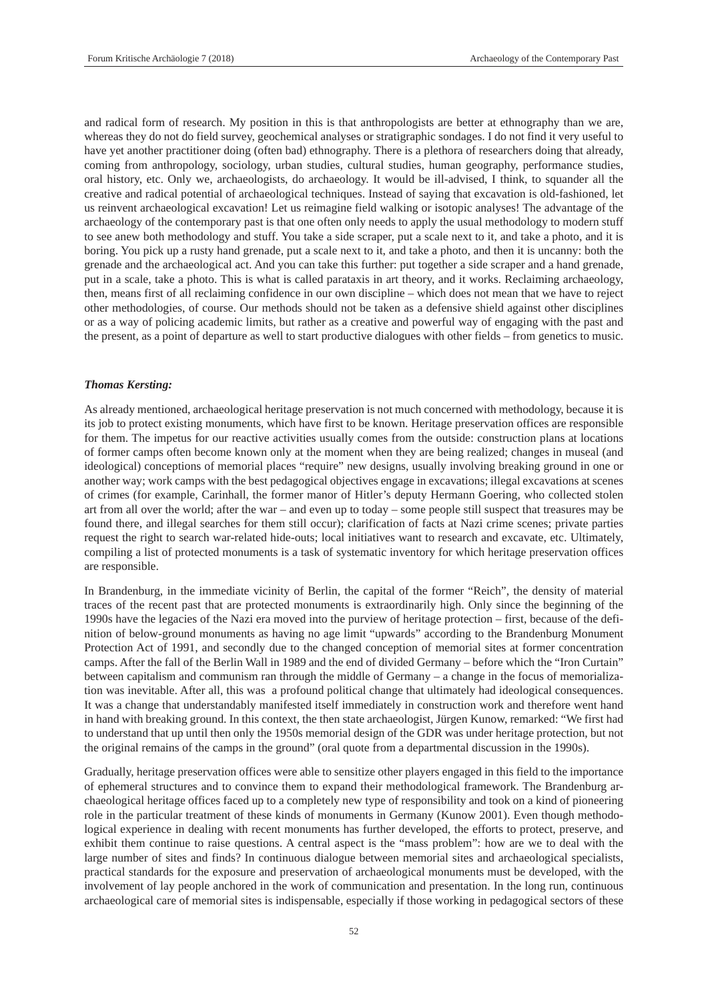and radical form of research. My position in this is that anthropologists are better at ethnography than we are, whereas they do not do field survey, geochemical analyses or stratigraphic sondages. I do not find it very useful to have yet another practitioner doing (often bad) ethnography. There is a plethora of researchers doing that already, coming from anthropology, sociology, urban studies, cultural studies, human geography, performance studies, oral history, etc. Only we, archaeologists, do archaeology. It would be ill-advised, I think, to squander all the creative and radical potential of archaeological techniques. Instead of saying that excavation is old-fashioned, let us reinvent archaeological excavation! Let us reimagine field walking or isotopic analyses! The advantage of the archaeology of the contemporary past is that one often only needs to apply the usual methodology to modern stuff to see anew both methodology and stuff. You take a side scraper, put a scale next to it, and take a photo, and it is boring. You pick up a rusty hand grenade, put a scale next to it, and take a photo, and then it is uncanny: both the grenade and the archaeological act. And you can take this further: put together a side scraper and a hand grenade, put in a scale, take a photo. This is what is called parataxis in art theory, and it works. Reclaiming archaeology, then, means first of all reclaiming confidence in our own discipline – which does not mean that we have to reject other methodologies, of course. Our methods should not be taken as a defensive shield against other disciplines or as a way of policing academic limits, but rather as a creative and powerful way of engaging with the past and the present, as a point of departure as well to start productive dialogues with other fields – from genetics to music.

# *Thomas Kersting:*

As already mentioned, archaeological heritage preservation is not much concerned with methodology, because it is its job to protect existing monuments, which have first to be known. Heritage preservation offices are responsible for them. The impetus for our reactive activities usually comes from the outside: construction plans at locations of former camps often become known only at the moment when they are being realized; changes in museal (and ideological) conceptions of memorial places "require" new designs, usually involving breaking ground in one or another way; work camps with the best pedagogical objectives engage in excavations; illegal excavations at scenes of crimes (for example, Carinhall, the former manor of Hitler's deputy Hermann Goering, who collected stolen art from all over the world; after the war – and even up to today – some people still suspect that treasures may be found there, and illegal searches for them still occur); clarification of facts at Nazi crime scenes; private parties request the right to search war-related hide-outs; local initiatives want to research and excavate, etc. Ultimately, compiling a list of protected monuments is a task of systematic inventory for which heritage preservation offices are responsible.

In Brandenburg, in the immediate vicinity of Berlin, the capital of the former "Reich", the density of material traces of the recent past that are protected monuments is extraordinarily high. Only since the beginning of the 1990s have the legacies of the Nazi era moved into the purview of heritage protection – first, because of the definition of below-ground monuments as having no age limit "upwards" according to the Brandenburg Monument Protection Act of 1991, and secondly due to the changed conception of memorial sites at former concentration camps. After the fall of the Berlin Wall in 1989 and the end of divided Germany – before which the "Iron Curtain" between capitalism and communism ran through the middle of Germany – a change in the focus of memorialization was inevitable. After all, this was a profound political change that ultimately had ideological consequences. It was a change that understandably manifested itself immediately in construction work and therefore went hand in hand with breaking ground. In this context, the then state archaeologist, Jürgen Kunow, remarked: "We first had to understand that up until then only the 1950s memorial design of the GDR was under heritage protection, but not the original remains of the camps in the ground" (oral quote from a departmental discussion in the 1990s).

Gradually, heritage preservation offices were able to sensitize other players engaged in this field to the importance of ephemeral structures and to convince them to expand their methodological framework. The Brandenburg archaeological heritage offices faced up to a completely new type of responsibility and took on a kind of pioneering role in the particular treatment of these kinds of monuments in Germany (Kunow 2001). Even though methodological experience in dealing with recent monuments has further developed, the efforts to protect, preserve, and exhibit them continue to raise questions. A central aspect is the "mass problem": how are we to deal with the large number of sites and finds? In continuous dialogue between memorial sites and archaeological specialists, practical standards for the exposure and preservation of archaeological monuments must be developed, with the involvement of lay people anchored in the work of communication and presentation. In the long run, continuous archaeological care of memorial sites is indispensable, especially if those working in pedagogical sectors of these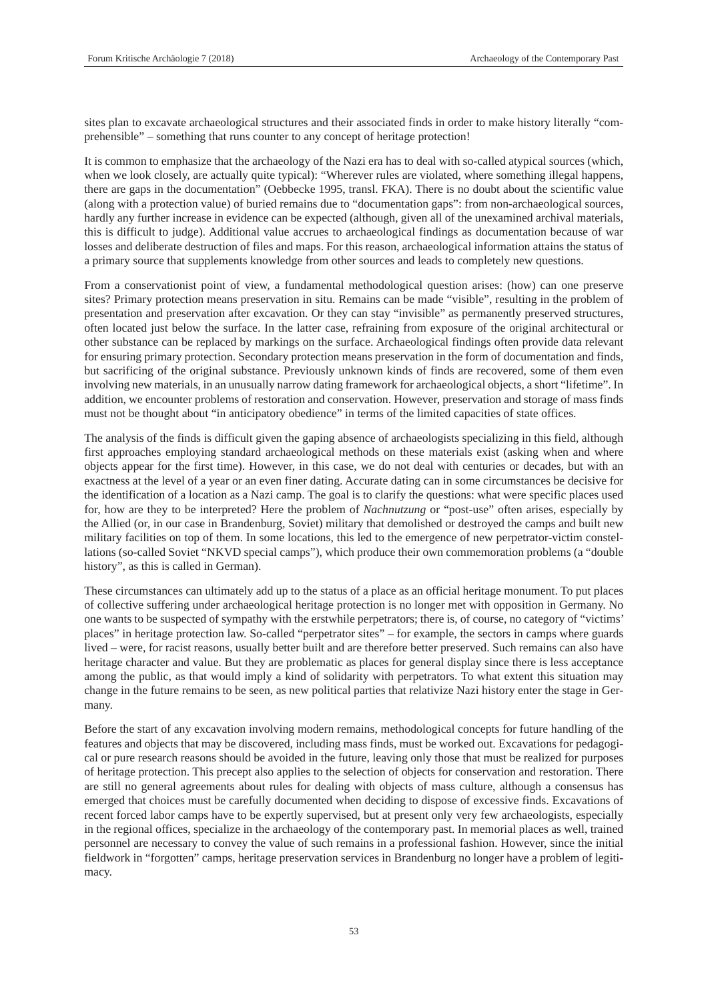sites plan to excavate archaeological structures and their associated finds in order to make history literally "comprehensible" – something that runs counter to any concept of heritage protection!

It is common to emphasize that the archaeology of the Nazi era has to deal with so-called atypical sources (which, when we look closely, are actually quite typical): "Wherever rules are violated, where something illegal happens, there are gaps in the documentation" (Oebbecke 1995, transl. FKA). There is no doubt about the scientific value (along with a protection value) of buried remains due to "documentation gaps": from non-archaeological sources, hardly any further increase in evidence can be expected (although, given all of the unexamined archival materials, this is difficult to judge). Additional value accrues to archaeological findings as documentation because of war losses and deliberate destruction of files and maps. For this reason, archaeological information attains the status of a primary source that supplements knowledge from other sources and leads to completely new questions.

From a conservationist point of view, a fundamental methodological question arises: (how) can one preserve sites? Primary protection means preservation in situ. Remains can be made "visible", resulting in the problem of presentation and preservation after excavation. Or they can stay "invisible" as permanently preserved structures, often located just below the surface. In the latter case, refraining from exposure of the original architectural or other substance can be replaced by markings on the surface. Archaeological findings often provide data relevant for ensuring primary protection. Secondary protection means preservation in the form of documentation and finds, but sacrificing of the original substance. Previously unknown kinds of finds are recovered, some of them even involving new materials, in an unusually narrow dating framework for archaeological objects, a short "lifetime". In addition, we encounter problems of restoration and conservation. However, preservation and storage of mass finds must not be thought about "in anticipatory obedience" in terms of the limited capacities of state offices.

The analysis of the finds is difficult given the gaping absence of archaeologists specializing in this field, although first approaches employing standard archaeological methods on these materials exist (asking when and where objects appear for the first time). However, in this case, we do not deal with centuries or decades, but with an exactness at the level of a year or an even finer dating. Accurate dating can in some circumstances be decisive for the identification of a location as a Nazi camp. The goal is to clarify the questions: what were specific places used for, how are they to be interpreted? Here the problem of *Nachnutzung* or "post-use" often arises, especially by the Allied (or, in our case in Brandenburg, Soviet) military that demolished or destroyed the camps and built new military facilities on top of them. In some locations, this led to the emergence of new perpetrator-victim constellations (so-called Soviet "NKVD special camps"), which produce their own commemoration problems (a "double history", as this is called in German).

These circumstances can ultimately add up to the status of a place as an official heritage monument. To put places of collective suffering under archaeological heritage protection is no longer met with opposition in Germany. No one wants to be suspected of sympathy with the erstwhile perpetrators; there is, of course, no category of "victims' places" in heritage protection law. So-called "perpetrator sites" – for example, the sectors in camps where guards lived – were, for racist reasons, usually better built and are therefore better preserved. Such remains can also have heritage character and value. But they are problematic as places for general display since there is less acceptance among the public, as that would imply a kind of solidarity with perpetrators. To what extent this situation may change in the future remains to be seen, as new political parties that relativize Nazi history enter the stage in Germany.

Before the start of any excavation involving modern remains, methodological concepts for future handling of the features and objects that may be discovered, including mass finds, must be worked out. Excavations for pedagogical or pure research reasons should be avoided in the future, leaving only those that must be realized for purposes of heritage protection. This precept also applies to the selection of objects for conservation and restoration. There are still no general agreements about rules for dealing with objects of mass culture, although a consensus has emerged that choices must be carefully documented when deciding to dispose of excessive finds. Excavations of recent forced labor camps have to be expertly supervised, but at present only very few archaeologists, especially in the regional offices, specialize in the archaeology of the contemporary past. In memorial places as well, trained personnel are necessary to convey the value of such remains in a professional fashion. However, since the initial fieldwork in "forgotten" camps, heritage preservation services in Brandenburg no longer have a problem of legitimacy.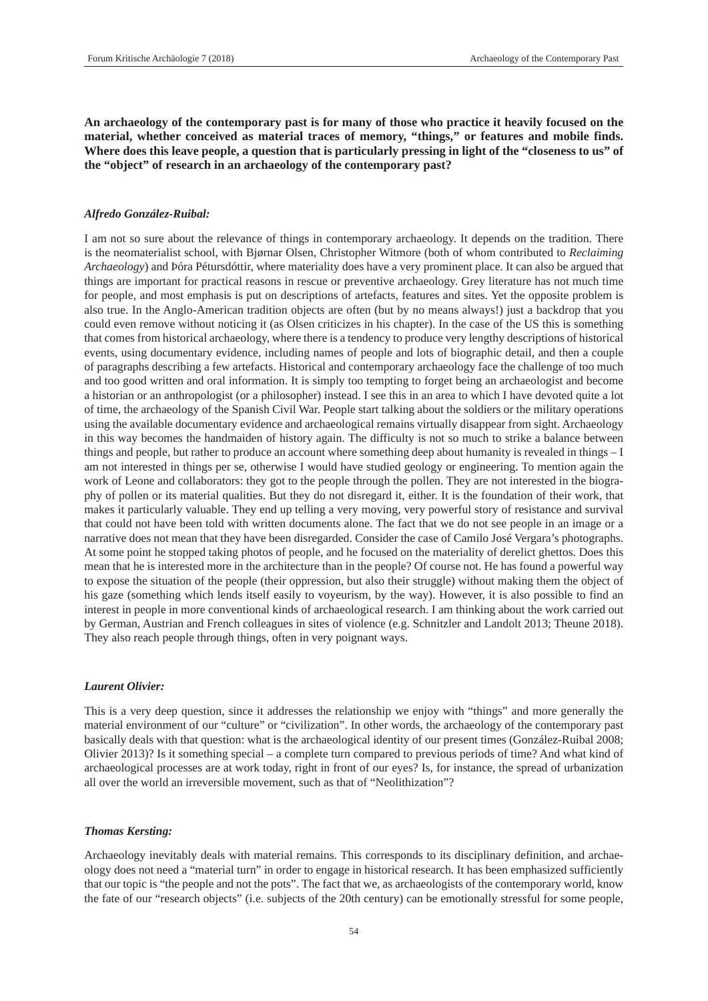**An archaeology of the contemporary past is for many of those who practice it heavily focused on the material, whether conceived as material traces of memory, "things," or features and mobile finds. Where does this leave people, a question that is particularly pressing in light of the "closeness to us" of the "object" of research in an archaeology of the contemporary past?**

#### *Alfredo González-Ruibal:*

I am not so sure about the relevance of things in contemporary archaeology. It depends on the tradition. There is the neomaterialist school, with Bjørnar Olsen, Christopher Witmore (both of whom contributed to *Reclaiming Archaeology*) and Þóra Pétursdóttir, where materiality does have a very prominent place. It can also be argued that things are important for practical reasons in rescue or preventive archaeology. Grey literature has not much time for people, and most emphasis is put on descriptions of artefacts, features and sites. Yet the opposite problem is also true. In the Anglo-American tradition objects are often (but by no means always!) just a backdrop that you could even remove without noticing it (as Olsen criticizes in his chapter). In the case of the US this is something that comes from historical archaeology, where there is a tendency to produce very lengthy descriptions of historical events, using documentary evidence, including names of people and lots of biographic detail, and then a couple of paragraphs describing a few artefacts. Historical and contemporary archaeology face the challenge of too much and too good written and oral information. It is simply too tempting to forget being an archaeologist and become a historian or an anthropologist (or a philosopher) instead. I see this in an area to which I have devoted quite a lot of time, the archaeology of the Spanish Civil War. People start talking about the soldiers or the military operations using the available documentary evidence and archaeological remains virtually disappear from sight. Archaeology in this way becomes the handmaiden of history again. The difficulty is not so much to strike a balance between things and people, but rather to produce an account where something deep about humanity is revealed in things – I am not interested in things per se, otherwise I would have studied geology or engineering. To mention again the work of Leone and collaborators: they got to the people through the pollen. They are not interested in the biography of pollen or its material qualities. But they do not disregard it, either. It is the foundation of their work, that makes it particularly valuable. They end up telling a very moving, very powerful story of resistance and survival that could not have been told with written documents alone. The fact that we do not see people in an image or a narrative does not mean that they have been disregarded. Consider the case of Camilo José Vergara's photographs. At some point he stopped taking photos of people, and he focused on the materiality of derelict ghettos. Does this mean that he is interested more in the architecture than in the people? Of course not. He has found a powerful way to expose the situation of the people (their oppression, but also their struggle) without making them the object of his gaze (something which lends itself easily to voyeurism, by the way). However, it is also possible to find an interest in people in more conventional kinds of archaeological research. I am thinking about the work carried out by German, Austrian and French colleagues in sites of violence (e.g. Schnitzler and Landolt 2013; Theune 2018). They also reach people through things, often in very poignant ways.

#### *Laurent Olivier:*

This is a very deep question, since it addresses the relationship we enjoy with "things" and more generally the material environment of our "culture" or "civilization". In other words, the archaeology of the contemporary past basically deals with that question: what is the archaeological identity of our present times (González-Ruibal 2008; Olivier 2013)? Is it something special – a complete turn compared to previous periods of time? And what kind of archaeological processes are at work today, right in front of our eyes? Is, for instance, the spread of urbanization all over the world an irreversible movement, such as that of "Neolithization"?

#### *Thomas Kersting:*

Archaeology inevitably deals with material remains. This corresponds to its disciplinary definition, and archaeology does not need a "material turn" in order to engage in historical research. It has been emphasized sufficiently that our topic is "the people and not the pots". The fact that we, as archaeologists of the contemporary world, know the fate of our "research objects" (i.e. subjects of the 20th century) can be emotionally stressful for some people,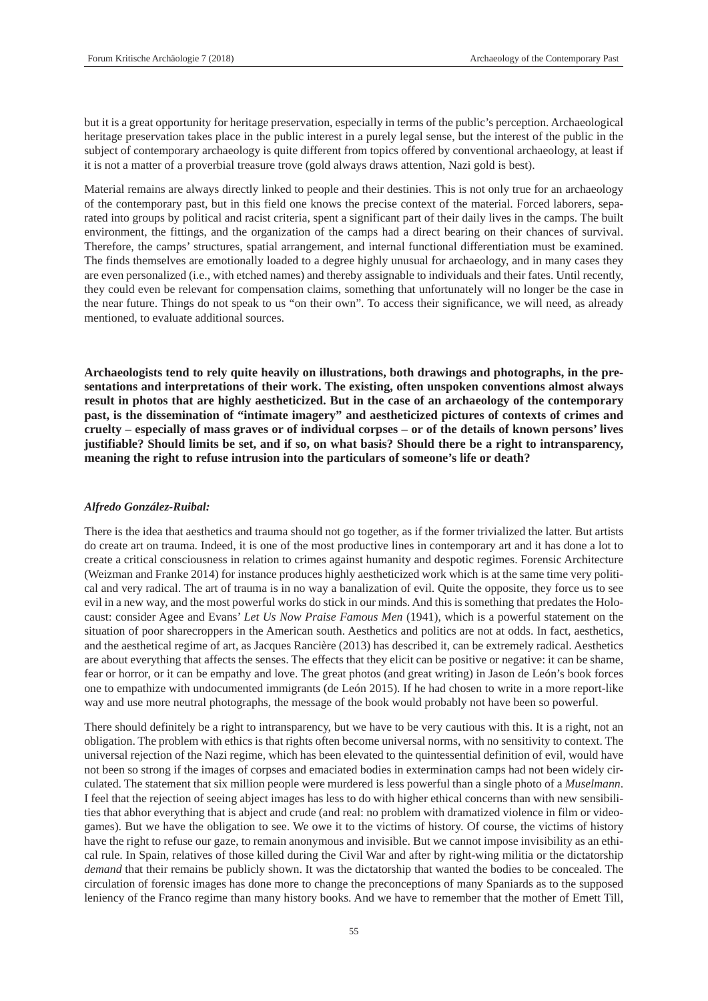but it is a great opportunity for heritage preservation, especially in terms of the public's perception. Archaeological heritage preservation takes place in the public interest in a purely legal sense, but the interest of the public in the subject of contemporary archaeology is quite different from topics offered by conventional archaeology, at least if it is not a matter of a proverbial treasure trove (gold always draws attention, Nazi gold is best).

Material remains are always directly linked to people and their destinies. This is not only true for an archaeology of the contemporary past, but in this field one knows the precise context of the material. Forced laborers, separated into groups by political and racist criteria, spent a significant part of their daily lives in the camps. The built environment, the fittings, and the organization of the camps had a direct bearing on their chances of survival. Therefore, the camps' structures, spatial arrangement, and internal functional differentiation must be examined. The finds themselves are emotionally loaded to a degree highly unusual for archaeology, and in many cases they are even personalized (i.e., with etched names) and thereby assignable to individuals and their fates. Until recently, they could even be relevant for compensation claims, something that unfortunately will no longer be the case in the near future. Things do not speak to us "on their own". To access their significance, we will need, as already mentioned, to evaluate additional sources.

**Archaeologists tend to rely quite heavily on illustrations, both drawings and photographs, in the presentations and interpretations of their work. The existing, often unspoken conventions almost always result in photos that are highly aestheticized. But in the case of an archaeology of the contemporary past, is the dissemination of "intimate imagery" and aestheticized pictures of contexts of crimes and cruelty – especially of mass graves or of individual corpses – or of the details of known persons' lives justifiable? Should limits be set, and if so, on what basis? Should there be a right to intransparency, meaning the right to refuse intrusion into the particulars of someone's life or death?**

#### *Alfredo González-Ruibal:*

There is the idea that aesthetics and trauma should not go together, as if the former trivialized the latter. But artists do create art on trauma. Indeed, it is one of the most productive lines in contemporary art and it has done a lot to create a critical consciousness in relation to crimes against humanity and despotic regimes. Forensic Architecture (Weizman and Franke 2014) for instance produces highly aestheticized work which is at the same time very political and very radical. The art of trauma is in no way a banalization of evil. Quite the opposite, they force us to see evil in a new way, and the most powerful works do stick in our minds. And this is something that predates the Holocaust: consider Agee and Evans' *Let Us Now Praise Famous Men* (1941), which is a powerful statement on the situation of poor sharecroppers in the American south. Aesthetics and politics are not at odds. In fact, aesthetics, and the aesthetical regime of art, as Jacques Rancière (2013) has described it, can be extremely radical. Aesthetics are about everything that affects the senses. The effects that they elicit can be positive or negative: it can be shame, fear or horror, or it can be empathy and love. The great photos (and great writing) in Jason de León's book forces one to empathize with undocumented immigrants (de León 2015). If he had chosen to write in a more report-like way and use more neutral photographs, the message of the book would probably not have been so powerful.

There should definitely be a right to intransparency, but we have to be very cautious with this. It is a right, not an obligation. The problem with ethics is that rights often become universal norms, with no sensitivity to context. The universal rejection of the Nazi regime, which has been elevated to the quintessential definition of evil, would have not been so strong if the images of corpses and emaciated bodies in extermination camps had not been widely circulated. The statement that six million people were murdered is less powerful than a single photo of a *Muselmann*. I feel that the rejection of seeing abject images has less to do with higher ethical concerns than with new sensibilities that abhor everything that is abject and crude (and real: no problem with dramatized violence in film or videogames). But we have the obligation to see. We owe it to the victims of history. Of course, the victims of history have the right to refuse our gaze, to remain anonymous and invisible. But we cannot impose invisibility as an ethical rule. In Spain, relatives of those killed during the Civil War and after by right-wing militia or the dictatorship *demand* that their remains be publicly shown. It was the dictatorship that wanted the bodies to be concealed. The circulation of forensic images has done more to change the preconceptions of many Spaniards as to the supposed leniency of the Franco regime than many history books. And we have to remember that the mother of Emett Till,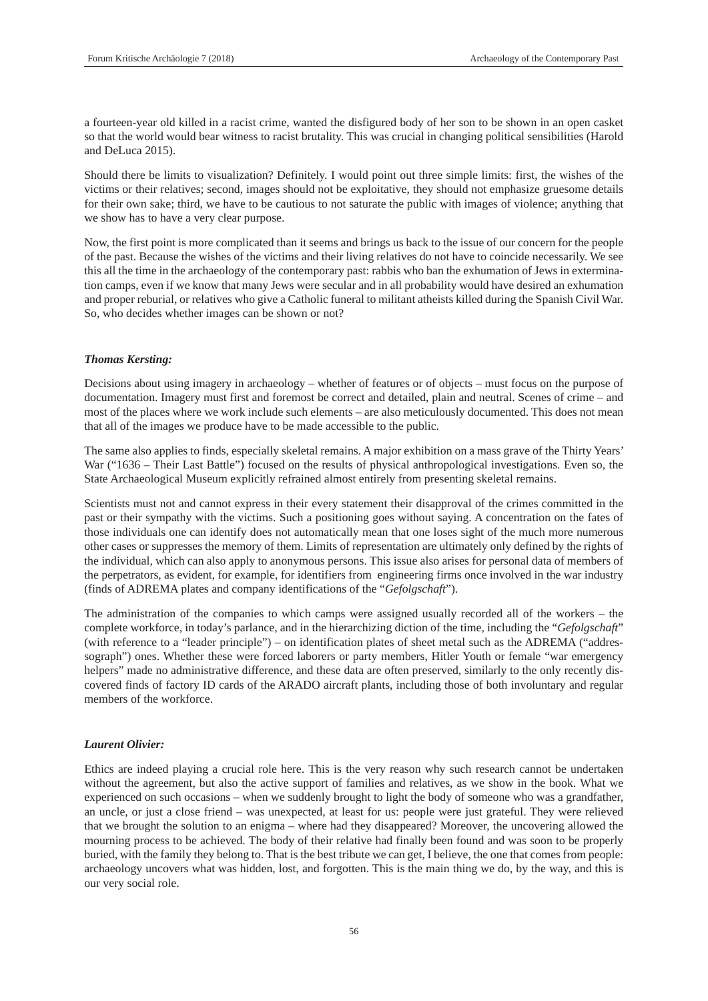a fourteen-year old killed in a racist crime, wanted the disfigured body of her son to be shown in an open casket so that the world would bear witness to racist brutality. This was crucial in changing political sensibilities (Harold and DeLuca 2015).

Should there be limits to visualization? Definitely. I would point out three simple limits: first, the wishes of the victims or their relatives; second, images should not be exploitative, they should not emphasize gruesome details for their own sake; third, we have to be cautious to not saturate the public with images of violence; anything that we show has to have a very clear purpose.

Now, the first point is more complicated than it seems and brings us back to the issue of our concern for the people of the past. Because the wishes of the victims and their living relatives do not have to coincide necessarily. We see this all the time in the archaeology of the contemporary past: rabbis who ban the exhumation of Jews in extermination camps, even if we know that many Jews were secular and in all probability would have desired an exhumation and proper reburial, or relatives who give a Catholic funeral to militant atheists killed during the Spanish Civil War. So, who decides whether images can be shown or not?

#### *Thomas Kersting:*

Decisions about using imagery in archaeology – whether of features or of objects – must focus on the purpose of documentation. Imagery must first and foremost be correct and detailed, plain and neutral. Scenes of crime – and most of the places where we work include such elements – are also meticulously documented. This does not mean that all of the images we produce have to be made accessible to the public.

The same also applies to finds, especially skeletal remains. A major exhibition on a mass grave of the Thirty Years' War ("1636 – Their Last Battle") focused on the results of physical anthropological investigations. Even so, the State Archaeological Museum explicitly refrained almost entirely from presenting skeletal remains.

Scientists must not and cannot express in their every statement their disapproval of the crimes committed in the past or their sympathy with the victims. Such a positioning goes without saying. A concentration on the fates of those individuals one can identify does not automatically mean that one loses sight of the much more numerous other cases or suppresses the memory of them. Limits of representation are ultimately only defined by the rights of the individual, which can also apply to anonymous persons. This issue also arises for personal data of members of the perpetrators, as evident, for example, for identifiers from engineering firms once involved in the war industry (finds of ADREMA plates and company identifications of the "*Gefolgschaft*").

The administration of the companies to which camps were assigned usually recorded all of the workers – the complete workforce, in today's parlance, and in the hierarchizing diction of the time, including the "*Gefolgschaft*" (with reference to a "leader principle") – on identification plates of sheet metal such as the ADREMA ("addressograph") ones. Whether these were forced laborers or party members, Hitler Youth or female "war emergency helpers" made no administrative difference, and these data are often preserved, similarly to the only recently discovered finds of factory ID cards of the ARADO aircraft plants, including those of both involuntary and regular members of the workforce.

#### *Laurent Olivier:*

Ethics are indeed playing a crucial role here. This is the very reason why such research cannot be undertaken without the agreement, but also the active support of families and relatives, as we show in the book. What we experienced on such occasions – when we suddenly brought to light the body of someone who was a grandfather, an uncle, or just a close friend – was unexpected, at least for us: people were just grateful. They were relieved that we brought the solution to an enigma – where had they disappeared? Moreover, the uncovering allowed the mourning process to be achieved. The body of their relative had finally been found and was soon to be properly buried, with the family they belong to. That is the best tribute we can get, I believe, the one that comes from people: archaeology uncovers what was hidden, lost, and forgotten. This is the main thing we do, by the way, and this is our very social role.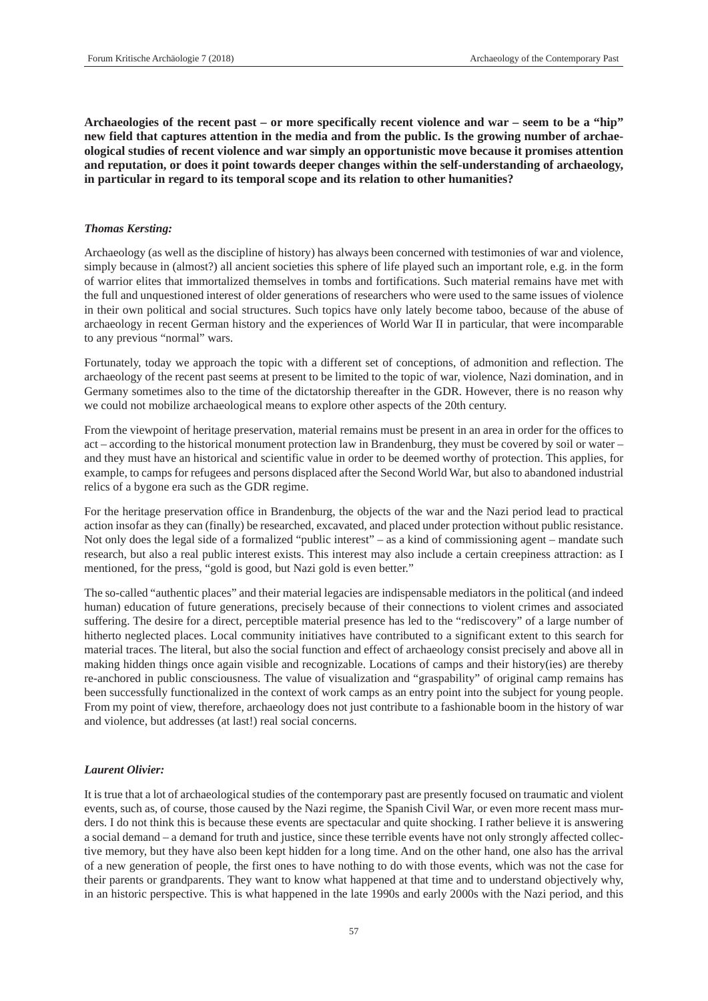**Archaeologies of the recent past – or more specifically recent violence and war – seem to be a "hip" new field that captures attention in the media and from the public. Is the growing number of archaeological studies of recent violence and war simply an opportunistic move because it promises attention and reputation, or does it point towards deeper changes within the self-understanding of archaeology, in particular in regard to its temporal scope and its relation to other humanities?**

# *Thomas Kersting:*

Archaeology (as well as the discipline of history) has always been concerned with testimonies of war and violence, simply because in (almost?) all ancient societies this sphere of life played such an important role, e.g. in the form of warrior elites that immortalized themselves in tombs and fortifications. Such material remains have met with the full and unquestioned interest of older generations of researchers who were used to the same issues of violence in their own political and social structures. Such topics have only lately become taboo, because of the abuse of archaeology in recent German history and the experiences of World War II in particular, that were incomparable to any previous "normal" wars.

Fortunately, today we approach the topic with a different set of conceptions, of admonition and reflection. The archaeology of the recent past seems at present to be limited to the topic of war, violence, Nazi domination, and in Germany sometimes also to the time of the dictatorship thereafter in the GDR. However, there is no reason why we could not mobilize archaeological means to explore other aspects of the 20th century.

From the viewpoint of heritage preservation, material remains must be present in an area in order for the offices to act – according to the historical monument protection law in Brandenburg, they must be covered by soil or water – and they must have an historical and scientific value in order to be deemed worthy of protection. This applies, for example, to camps for refugees and persons displaced after the Second World War, but also to abandoned industrial relics of a bygone era such as the GDR regime.

For the heritage preservation office in Brandenburg, the objects of the war and the Nazi period lead to practical action insofar as they can (finally) be researched, excavated, and placed under protection without public resistance. Not only does the legal side of a formalized "public interest" – as a kind of commissioning agent – mandate such research, but also a real public interest exists. This interest may also include a certain creepiness attraction: as I mentioned, for the press, "gold is good, but Nazi gold is even better."

The so-called "authentic places" and their material legacies are indispensable mediators in the political (and indeed human) education of future generations, precisely because of their connections to violent crimes and associated suffering. The desire for a direct, perceptible material presence has led to the "rediscovery" of a large number of hitherto neglected places. Local community initiatives have contributed to a significant extent to this search for material traces. The literal, but also the social function and effect of archaeology consist precisely and above all in making hidden things once again visible and recognizable. Locations of camps and their history(ies) are thereby re-anchored in public consciousness. The value of visualization and "graspability" of original camp remains has been successfully functionalized in the context of work camps as an entry point into the subject for young people. From my point of view, therefore, archaeology does not just contribute to a fashionable boom in the history of war and violence, but addresses (at last!) real social concerns.

#### *Laurent Olivier:*

It is true that a lot of archaeological studies of the contemporary past are presently focused on traumatic and violent events, such as, of course, those caused by the Nazi regime, the Spanish Civil War, or even more recent mass murders. I do not think this is because these events are spectacular and quite shocking. I rather believe it is answering a social demand – a demand for truth and justice, since these terrible events have not only strongly affected collective memory, but they have also been kept hidden for a long time. And on the other hand, one also has the arrival of a new generation of people, the first ones to have nothing to do with those events, which was not the case for their parents or grandparents. They want to know what happened at that time and to understand objectively why, in an historic perspective. This is what happened in the late 1990s and early 2000s with the Nazi period, and this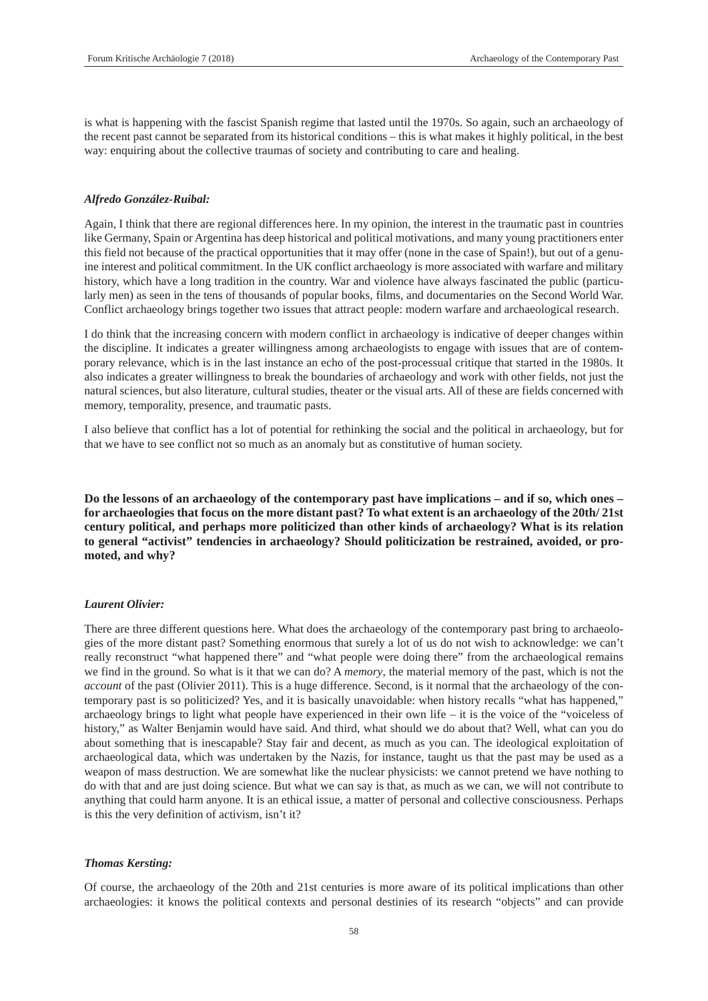is what is happening with the fascist Spanish regime that lasted until the 1970s. So again, such an archaeology of the recent past cannot be separated from its historical conditions – this is what makes it highly political, in the best way: enquiring about the collective traumas of society and contributing to care and healing.

# *Alfredo González-Ruibal:*

Again, I think that there are regional differences here. In my opinion, the interest in the traumatic past in countries like Germany, Spain or Argentina has deep historical and political motivations, and many young practitioners enter this field not because of the practical opportunities that it may offer (none in the case of Spain!), but out of a genuine interest and political commitment. In the UK conflict archaeology is more associated with warfare and military history, which have a long tradition in the country. War and violence have always fascinated the public (particularly men) as seen in the tens of thousands of popular books, films, and documentaries on the Second World War. Conflict archaeology brings together two issues that attract people: modern warfare and archaeological research.

I do think that the increasing concern with modern conflict in archaeology is indicative of deeper changes within the discipline. It indicates a greater willingness among archaeologists to engage with issues that are of contemporary relevance, which is in the last instance an echo of the post-processual critique that started in the 1980s. It also indicates a greater willingness to break the boundaries of archaeology and work with other fields, not just the natural sciences, but also literature, cultural studies, theater or the visual arts. All of these are fields concerned with memory, temporality, presence, and traumatic pasts.

I also believe that conflict has a lot of potential for rethinking the social and the political in archaeology, but for that we have to see conflict not so much as an anomaly but as constitutive of human society.

**Do the lessons of an archaeology of the contemporary past have implications – and if so, which ones – for archaeologies that focus on the more distant past? To what extent is an archaeology of the 20th/ 21st century political, and perhaps more politicized than other kinds of archaeology? What is its relation to general "activist" tendencies in archaeology? Should politicization be restrained, avoided, or promoted, and why?**

# *Laurent Olivier:*

There are three different questions here. What does the archaeology of the contemporary past bring to archaeologies of the more distant past? Something enormous that surely a lot of us do not wish to acknowledge: we can't really reconstruct "what happened there" and "what people were doing there" from the archaeological remains we find in the ground. So what is it that we can do? A *memory*, the material memory of the past, which is not the *account* of the past (Olivier 2011). This is a huge difference. Second, is it normal that the archaeology of the contemporary past is so politicized? Yes, and it is basically unavoidable: when history recalls "what has happened," archaeology brings to light what people have experienced in their own life – it is the voice of the "voiceless of history," as Walter Benjamin would have said. And third, what should we do about that? Well, what can you do about something that is inescapable? Stay fair and decent, as much as you can. The ideological exploitation of archaeological data, which was undertaken by the Nazis, for instance, taught us that the past may be used as a weapon of mass destruction. We are somewhat like the nuclear physicists: we cannot pretend we have nothing to do with that and are just doing science. But what we can say is that, as much as we can, we will not contribute to anything that could harm anyone. It is an ethical issue, a matter of personal and collective consciousness. Perhaps is this the very definition of activism, isn't it?

#### *Thomas Kersting:*

Of course, the archaeology of the 20th and 21st centuries is more aware of its political implications than other archaeologies: it knows the political contexts and personal destinies of its research "objects" and can provide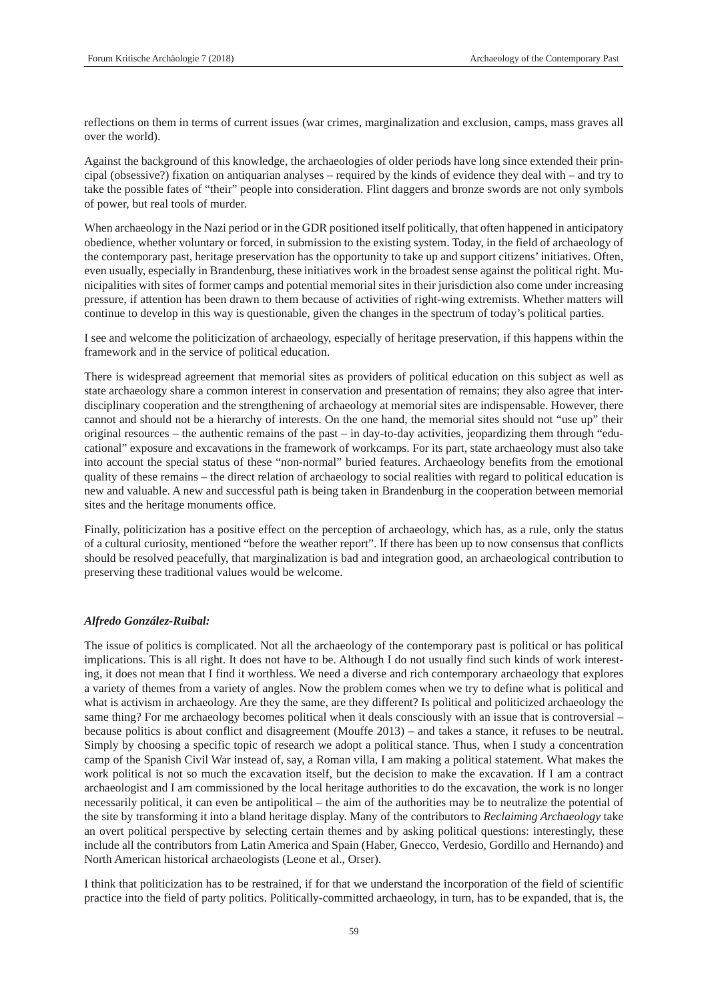reflections on them in terms of current issues (war crimes, marginalization and exclusion, camps, mass graves all over the world).

Against the background of this knowledge, the archaeologies of older periods have long since extended their principal (obsessive?) fixation on antiquarian analyses – required by the kinds of evidence they deal with – and try to take the possible fates of "their" people into consideration. Flint daggers and bronze swords are not only symbols of power, but real tools of murder.

When archaeology in the Nazi period or in the GDR positioned itself politically, that often happened in anticipatory obedience, whether voluntary or forced, in submission to the existing system. Today, in the field of archaeology of the contemporary past, heritage preservation has the opportunity to take up and support citizens' initiatives. Often, even usually, especially in Brandenburg, these initiatives work in the broadest sense against the political right. Municipalities with sites of former camps and potential memorial sites in their jurisdiction also come under increasing pressure, if attention has been drawn to them because of activities of right-wing extremists. Whether matters will continue to develop in this way is questionable, given the changes in the spectrum of today's political parties.

I see and welcome the politicization of archaeology, especially of heritage preservation, if this happens within the framework and in the service of political education.

There is widespread agreement that memorial sites as providers of political education on this subject as well as state archaeology share a common interest in conservation and presentation of remains; they also agree that interdisciplinary cooperation and the strengthening of archaeology at memorial sites are indispensable. However, there cannot and should not be a hierarchy of interests. On the one hand, the memorial sites should not "use up" their original resources – the authentic remains of the past – in day-to-day activities, jeopardizing them through "educational" exposure and excavations in the framework of workcamps. For its part, state archaeology must also take into account the special status of these "non-normal" buried features. Archaeology benefits from the emotional quality of these remains – the direct relation of archaeology to social realities with regard to political education is new and valuable. A new and successful path is being taken in Brandenburg in the cooperation between memorial sites and the heritage monuments office.

Finally, politicization has a positive effect on the perception of archaeology, which has, as a rule, only the status of a cultural curiosity, mentioned "before the weather report". If there has been up to now consensus that conflicts should be resolved peacefully, that marginalization is bad and integration good, an archaeological contribution to preserving these traditional values would be welcome.

#### *Alfredo González-Ruibal:*

The issue of politics is complicated. Not all the archaeology of the contemporary past is political or has political implications. This is all right. It does not have to be. Although I do not usually find such kinds of work interesting, it does not mean that I find it worthless. We need a diverse and rich contemporary archaeology that explores a variety of themes from a variety of angles. Now the problem comes when we try to define what is political and what is activism in archaeology. Are they the same, are they different? Is political and politicized archaeology the same thing? For me archaeology becomes political when it deals consciously with an issue that is controversial – because politics is about conflict and disagreement (Mouffe 2013) – and takes a stance, it refuses to be neutral. Simply by choosing a specific topic of research we adopt a political stance. Thus, when I study a concentration camp of the Spanish Civil War instead of, say, a Roman villa, I am making a political statement. What makes the work political is not so much the excavation itself, but the decision to make the excavation. If I am a contract archaeologist and I am commissioned by the local heritage authorities to do the excavation, the work is no longer necessarily political, it can even be antipolitical – the aim of the authorities may be to neutralize the potential of the site by transforming it into a bland heritage display. Many of the contributors to *Reclaiming Archaeology* take an overt political perspective by selecting certain themes and by asking political questions: interestingly, these include all the contributors from Latin America and Spain (Haber, Gnecco, Verdesio, Gordillo and Hernando) and North American historical archaeologists (Leone et al., Orser).

I think that politicization has to be restrained, if for that we understand the incorporation of the field of scientific practice into the field of party politics. Politically-committed archaeology, in turn, has to be expanded, that is, the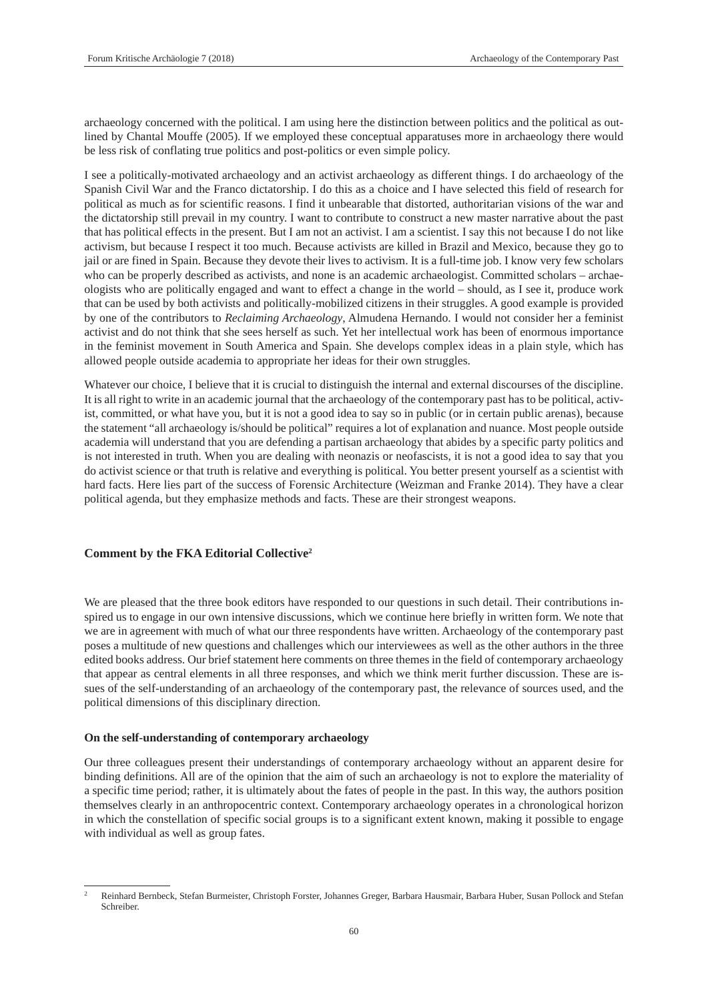archaeology concerned with the political. I am using here the distinction between politics and the political as outlined by Chantal Mouffe (2005). If we employed these conceptual apparatuses more in archaeology there would be less risk of conflating true politics and post-politics or even simple policy.

I see a politically-motivated archaeology and an activist archaeology as different things. I do archaeology of the Spanish Civil War and the Franco dictatorship. I do this as a choice and I have selected this field of research for political as much as for scientific reasons. I find it unbearable that distorted, authoritarian visions of the war and the dictatorship still prevail in my country. I want to contribute to construct a new master narrative about the past that has political effects in the present. But I am not an activist. I am a scientist. I say this not because I do not like activism, but because I respect it too much. Because activists are killed in Brazil and Mexico, because they go to jail or are fined in Spain. Because they devote their lives to activism. It is a full-time job. I know very few scholars who can be properly described as activists, and none is an academic archaeologist. Committed scholars – archaeologists who are politically engaged and want to effect a change in the world – should, as I see it, produce work that can be used by both activists and politically-mobilized citizens in their struggles. A good example is provided by one of the contributors to *Reclaiming Archaeology*, Almudena Hernando. I would not consider her a feminist activist and do not think that she sees herself as such. Yet her intellectual work has been of enormous importance in the feminist movement in South America and Spain. She develops complex ideas in a plain style, which has allowed people outside academia to appropriate her ideas for their own struggles.

Whatever our choice, I believe that it is crucial to distinguish the internal and external discourses of the discipline. It is all right to write in an academic journal that the archaeology of the contemporary past has to be political, activist, committed, or what have you, but it is not a good idea to say so in public (or in certain public arenas), because the statement "all archaeology is/should be political" requires a lot of explanation and nuance. Most people outside academia will understand that you are defending a partisan archaeology that abides by a specific party politics and is not interested in truth. When you are dealing with neonazis or neofascists, it is not a good idea to say that you do activist science or that truth is relative and everything is political. You better present yourself as a scientist with hard facts. Here lies part of the success of Forensic Architecture (Weizman and Franke 2014). They have a clear political agenda, but they emphasize methods and facts. These are their strongest weapons.

# **Comment by the FKA Editorial Collective2**

We are pleased that the three book editors have responded to our questions in such detail. Their contributions inspired us to engage in our own intensive discussions, which we continue here briefly in written form. We note that we are in agreement with much of what our three respondents have written. Archaeology of the contemporary past poses a multitude of new questions and challenges which our interviewees as well as the other authors in the three edited books address. Our brief statement here comments on three themes in the field of contemporary archaeology that appear as central elements in all three responses, and which we think merit further discussion. These are issues of the self-understanding of an archaeology of the contemporary past, the relevance of sources used, and the political dimensions of this disciplinary direction.

#### **On the self-understanding of contemporary archaeology**

Our three colleagues present their understandings of contemporary archaeology without an apparent desire for binding definitions. All are of the opinion that the aim of such an archaeology is not to explore the materiality of a specific time period; rather, it is ultimately about the fates of people in the past. In this way, the authors position themselves clearly in an anthropocentric context. Contemporary archaeology operates in a chronological horizon in which the constellation of specific social groups is to a significant extent known, making it possible to engage with individual as well as group fates.

<sup>2</sup> Reinhard Bernbeck, Stefan Burmeister, Christoph Forster, Johannes Greger, Barbara Hausmair, Barbara Huber, Susan Pollock and Stefan Schreiber.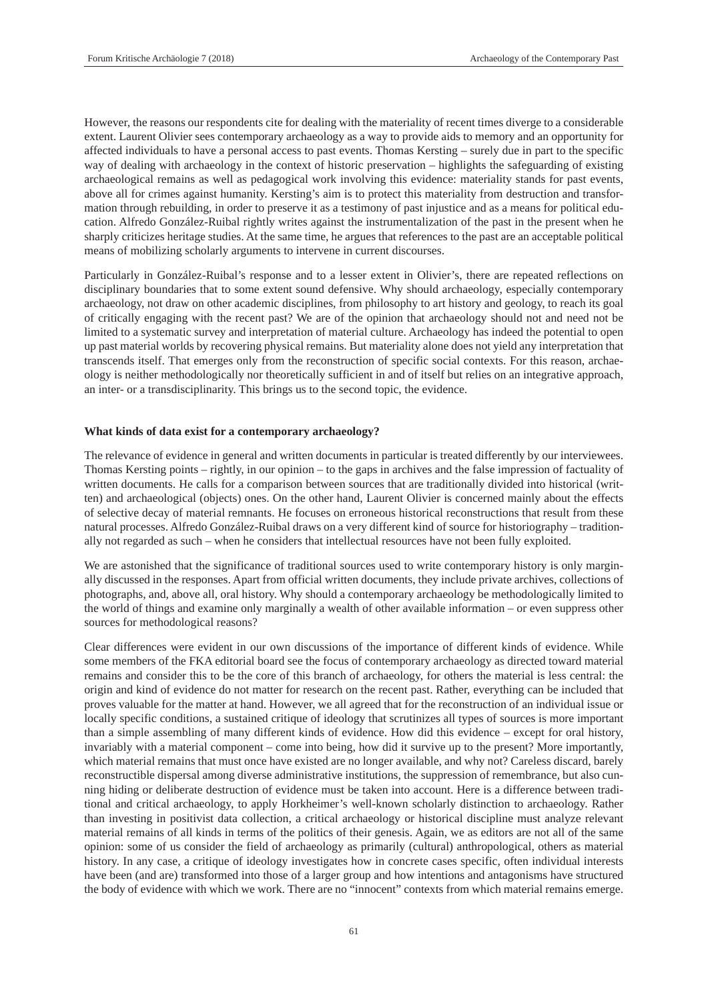However, the reasons our respondents cite for dealing with the materiality of recent times diverge to a considerable extent. Laurent Olivier sees contemporary archaeology as a way to provide aids to memory and an opportunity for affected individuals to have a personal access to past events. Thomas Kersting – surely due in part to the specific way of dealing with archaeology in the context of historic preservation – highlights the safeguarding of existing archaeological remains as well as pedagogical work involving this evidence: materiality stands for past events, above all for crimes against humanity. Kersting's aim is to protect this materiality from destruction and transformation through rebuilding, in order to preserve it as a testimony of past injustice and as a means for political education. Alfredo González-Ruibal rightly writes against the instrumentalization of the past in the present when he sharply criticizes heritage studies. At the same time, he argues that references to the past are an acceptable political means of mobilizing scholarly arguments to intervene in current discourses.

Particularly in González-Ruibal's response and to a lesser extent in Olivier's, there are repeated reflections on disciplinary boundaries that to some extent sound defensive. Why should archaeology, especially contemporary archaeology, not draw on other academic disciplines, from philosophy to art history and geology, to reach its goal of critically engaging with the recent past? We are of the opinion that archaeology should not and need not be limited to a systematic survey and interpretation of material culture. Archaeology has indeed the potential to open up past material worlds by recovering physical remains. But materiality alone does not yield any interpretation that transcends itself. That emerges only from the reconstruction of specific social contexts. For this reason, archaeology is neither methodologically nor theoretically sufficient in and of itself but relies on an integrative approach, an inter- or a transdisciplinarity. This brings us to the second topic, the evidence.

#### **What kinds of data exist for a contemporary archaeology?**

The relevance of evidence in general and written documents in particular is treated differently by our interviewees. Thomas Kersting points – rightly, in our opinion – to the gaps in archives and the false impression of factuality of written documents. He calls for a comparison between sources that are traditionally divided into historical (written) and archaeological (objects) ones. On the other hand, Laurent Olivier is concerned mainly about the effects of selective decay of material remnants. He focuses on erroneous historical reconstructions that result from these natural processes. Alfredo González-Ruibal draws on a very different kind of source for historiography – traditionally not regarded as such – when he considers that intellectual resources have not been fully exploited.

We are astonished that the significance of traditional sources used to write contemporary history is only marginally discussed in the responses. Apart from official written documents, they include private archives, collections of photographs, and, above all, oral history. Why should a contemporary archaeology be methodologically limited to the world of things and examine only marginally a wealth of other available information – or even suppress other sources for methodological reasons?

Clear differences were evident in our own discussions of the importance of different kinds of evidence. While some members of the FKA editorial board see the focus of contemporary archaeology as directed toward material remains and consider this to be the core of this branch of archaeology, for others the material is less central: the origin and kind of evidence do not matter for research on the recent past. Rather, everything can be included that proves valuable for the matter at hand. However, we all agreed that for the reconstruction of an individual issue or locally specific conditions, a sustained critique of ideology that scrutinizes all types of sources is more important than a simple assembling of many different kinds of evidence. How did this evidence – except for oral history, invariably with a material component – come into being, how did it survive up to the present? More importantly, which material remains that must once have existed are no longer available, and why not? Careless discard, barely reconstructible dispersal among diverse administrative institutions, the suppression of remembrance, but also cunning hiding or deliberate destruction of evidence must be taken into account. Here is a difference between traditional and critical archaeology, to apply Horkheimer's well-known scholarly distinction to archaeology. Rather than investing in positivist data collection, a critical archaeology or historical discipline must analyze relevant material remains of all kinds in terms of the politics of their genesis. Again, we as editors are not all of the same opinion: some of us consider the field of archaeology as primarily (cultural) anthropological, others as material history. In any case, a critique of ideology investigates how in concrete cases specific, often individual interests have been (and are) transformed into those of a larger group and how intentions and antagonisms have structured the body of evidence with which we work. There are no "innocent" contexts from which material remains emerge.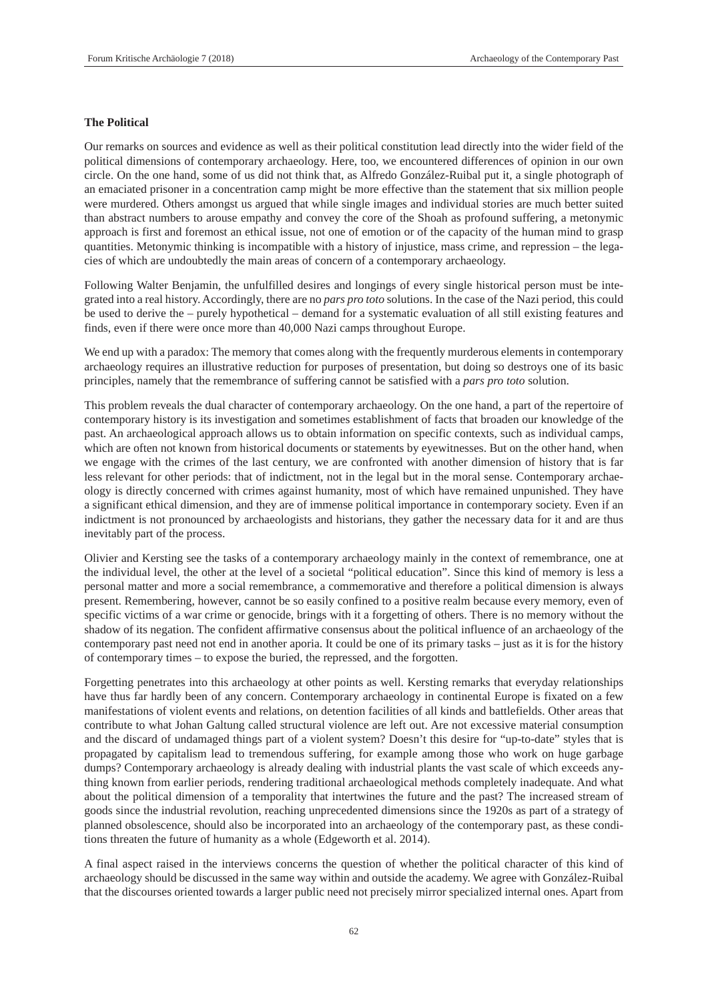# **The Political**

Our remarks on sources and evidence as well as their political constitution lead directly into the wider field of the political dimensions of contemporary archaeology. Here, too, we encountered differences of opinion in our own circle. On the one hand, some of us did not think that, as Alfredo González-Ruibal put it, a single photograph of an emaciated prisoner in a concentration camp might be more effective than the statement that six million people were murdered. Others amongst us argued that while single images and individual stories are much better suited than abstract numbers to arouse empathy and convey the core of the Shoah as profound suffering, a metonymic approach is first and foremost an ethical issue, not one of emotion or of the capacity of the human mind to grasp quantities. Metonymic thinking is incompatible with a history of injustice, mass crime, and repression – the legacies of which are undoubtedly the main areas of concern of a contemporary archaeology.

Following Walter Benjamin, the unfulfilled desires and longings of every single historical person must be integrated into a real history. Accordingly, there are no *pars pro toto* solutions. In the case of the Nazi period, this could be used to derive the – purely hypothetical – demand for a systematic evaluation of all still existing features and finds, even if there were once more than 40,000 Nazi camps throughout Europe.

We end up with a paradox: The memory that comes along with the frequently murderous elements in contemporary archaeology requires an illustrative reduction for purposes of presentation, but doing so destroys one of its basic principles, namely that the remembrance of suffering cannot be satisfied with a *pars pro toto* solution.

This problem reveals the dual character of contemporary archaeology. On the one hand, a part of the repertoire of contemporary history is its investigation and sometimes establishment of facts that broaden our knowledge of the past. An archaeological approach allows us to obtain information on specific contexts, such as individual camps, which are often not known from historical documents or statements by eyewitnesses. But on the other hand, when we engage with the crimes of the last century, we are confronted with another dimension of history that is far less relevant for other periods: that of indictment, not in the legal but in the moral sense. Contemporary archaeology is directly concerned with crimes against humanity, most of which have remained unpunished. They have a significant ethical dimension, and they are of immense political importance in contemporary society. Even if an indictment is not pronounced by archaeologists and historians, they gather the necessary data for it and are thus inevitably part of the process.

Olivier and Kersting see the tasks of a contemporary archaeology mainly in the context of remembrance, one at the individual level, the other at the level of a societal "political education". Since this kind of memory is less a personal matter and more a social remembrance, a commemorative and therefore a political dimension is always present. Remembering, however, cannot be so easily confined to a positive realm because every memory, even of specific victims of a war crime or genocide, brings with it a forgetting of others. There is no memory without the shadow of its negation. The confident affirmative consensus about the political influence of an archaeology of the contemporary past need not end in another aporia. It could be one of its primary tasks – just as it is for the history of contemporary times – to expose the buried, the repressed, and the forgotten.

Forgetting penetrates into this archaeology at other points as well. Kersting remarks that everyday relationships have thus far hardly been of any concern. Contemporary archaeology in continental Europe is fixated on a few manifestations of violent events and relations, on detention facilities of all kinds and battlefields. Other areas that contribute to what Johan Galtung called structural violence are left out. Are not excessive material consumption and the discard of undamaged things part of a violent system? Doesn't this desire for "up-to-date" styles that is propagated by capitalism lead to tremendous suffering, for example among those who work on huge garbage dumps? Contemporary archaeology is already dealing with industrial plants the vast scale of which exceeds anything known from earlier periods, rendering traditional archaeological methods completely inadequate. And what about the political dimension of a temporality that intertwines the future and the past? The increased stream of goods since the industrial revolution, reaching unprecedented dimensions since the 1920s as part of a strategy of planned obsolescence, should also be incorporated into an archaeology of the contemporary past, as these conditions threaten the future of humanity as a whole (Edgeworth et al. 2014).

A final aspect raised in the interviews concerns the question of whether the political character of this kind of archaeology should be discussed in the same way within and outside the academy. We agree with González-Ruibal that the discourses oriented towards a larger public need not precisely mirror specialized internal ones. Apart from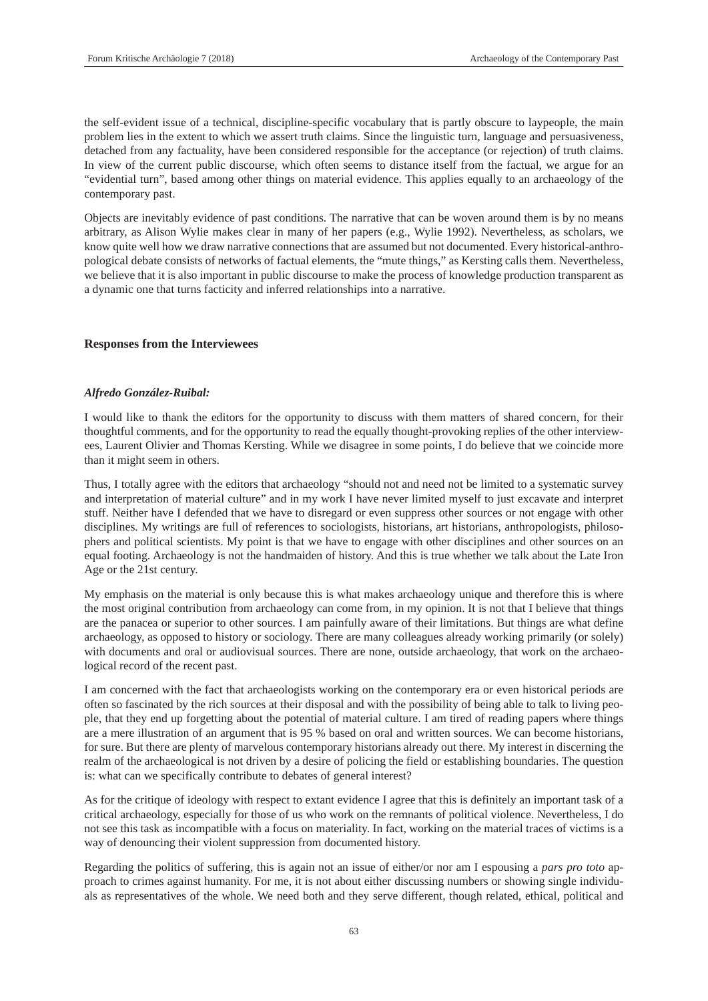the self-evident issue of a technical, discipline-specific vocabulary that is partly obscure to laypeople, the main problem lies in the extent to which we assert truth claims. Since the linguistic turn, language and persuasiveness, detached from any factuality, have been considered responsible for the acceptance (or rejection) of truth claims. In view of the current public discourse, which often seems to distance itself from the factual, we argue for an "evidential turn", based among other things on material evidence. This applies equally to an archaeology of the contemporary past.

Objects are inevitably evidence of past conditions. The narrative that can be woven around them is by no means arbitrary, as Alison Wylie makes clear in many of her papers (e.g., Wylie 1992). Nevertheless, as scholars, we know quite well how we draw narrative connections that are assumed but not documented. Every historical-anthropological debate consists of networks of factual elements, the "mute things," as Kersting calls them. Nevertheless, we believe that it is also important in public discourse to make the process of knowledge production transparent as a dynamic one that turns facticity and inferred relationships into a narrative.

# **Responses from the Interviewees**

#### *Alfredo González-Ruibal:*

I would like to thank the editors for the opportunity to discuss with them matters of shared concern, for their thoughtful comments, and for the opportunity to read the equally thought-provoking replies of the other interviewees, Laurent Olivier and Thomas Kersting. While we disagree in some points, I do believe that we coincide more than it might seem in others.

Thus, I totally agree with the editors that archaeology "should not and need not be limited to a systematic survey and interpretation of material culture" and in my work I have never limited myself to just excavate and interpret stuff. Neither have I defended that we have to disregard or even suppress other sources or not engage with other disciplines. My writings are full of references to sociologists, historians, art historians, anthropologists, philosophers and political scientists. My point is that we have to engage with other disciplines and other sources on an equal footing. Archaeology is not the handmaiden of history. And this is true whether we talk about the Late Iron Age or the 21st century.

My emphasis on the material is only because this is what makes archaeology unique and therefore this is where the most original contribution from archaeology can come from, in my opinion. It is not that I believe that things are the panacea or superior to other sources. I am painfully aware of their limitations. But things are what define archaeology, as opposed to history or sociology. There are many colleagues already working primarily (or solely) with documents and oral or audiovisual sources. There are none, outside archaeology, that work on the archaeological record of the recent past.

I am concerned with the fact that archaeologists working on the contemporary era or even historical periods are often so fascinated by the rich sources at their disposal and with the possibility of being able to talk to living people, that they end up forgetting about the potential of material culture. I am tired of reading papers where things are a mere illustration of an argument that is 95 % based on oral and written sources. We can become historians, for sure. But there are plenty of marvelous contemporary historians already out there. My interest in discerning the realm of the archaeological is not driven by a desire of policing the field or establishing boundaries. The question is: what can we specifically contribute to debates of general interest?

As for the critique of ideology with respect to extant evidence I agree that this is definitely an important task of a critical archaeology, especially for those of us who work on the remnants of political violence. Nevertheless, I do not see this task as incompatible with a focus on materiality. In fact, working on the material traces of victims is a way of denouncing their violent suppression from documented history.

Regarding the politics of suffering, this is again not an issue of either/or nor am I espousing a *pars pro toto* approach to crimes against humanity. For me, it is not about either discussing numbers or showing single individuals as representatives of the whole. We need both and they serve different, though related, ethical, political and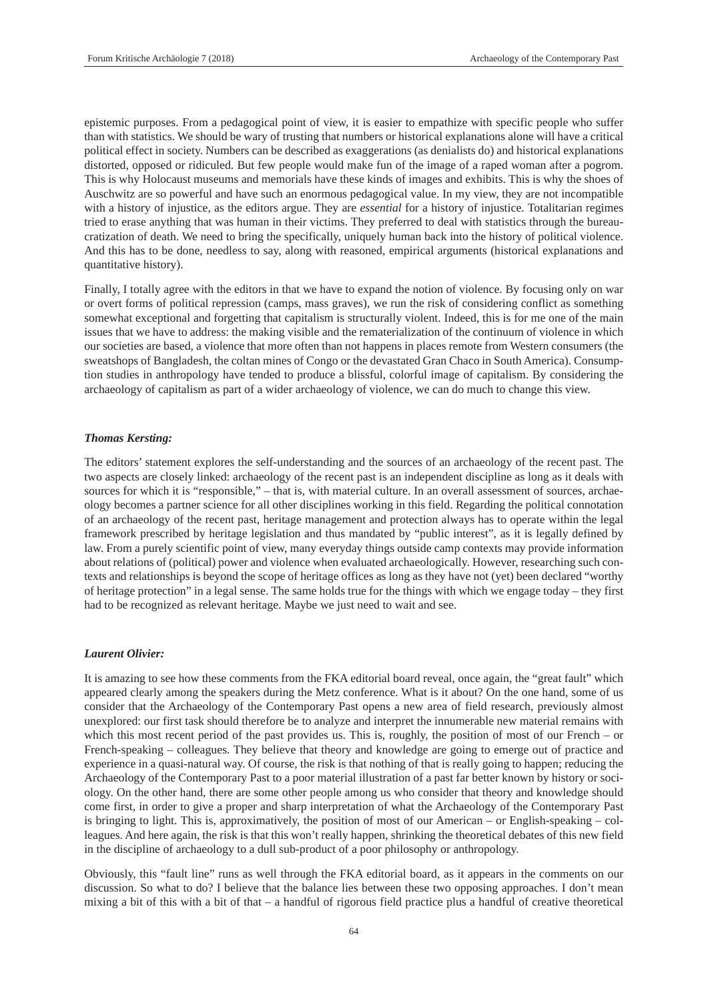epistemic purposes. From a pedagogical point of view, it is easier to empathize with specific people who suffer than with statistics. We should be wary of trusting that numbers or historical explanations alone will have a critical political effect in society. Numbers can be described as exaggerations (as denialists do) and historical explanations distorted, opposed or ridiculed. But few people would make fun of the image of a raped woman after a pogrom. This is why Holocaust museums and memorials have these kinds of images and exhibits. This is why the shoes of Auschwitz are so powerful and have such an enormous pedagogical value. In my view, they are not incompatible with a history of injustice, as the editors argue. They are *essential* for a history of injustice. Totalitarian regimes tried to erase anything that was human in their victims. They preferred to deal with statistics through the bureaucratization of death. We need to bring the specifically, uniquely human back into the history of political violence. And this has to be done, needless to say, along with reasoned, empirical arguments (historical explanations and quantitative history).

Finally, I totally agree with the editors in that we have to expand the notion of violence. By focusing only on war or overt forms of political repression (camps, mass graves), we run the risk of considering conflict as something somewhat exceptional and forgetting that capitalism is structurally violent. Indeed, this is for me one of the main issues that we have to address: the making visible and the rematerialization of the continuum of violence in which our societies are based, a violence that more often than not happens in places remote from Western consumers (the sweatshops of Bangladesh, the coltan mines of Congo or the devastated Gran Chaco in South America). Consumption studies in anthropology have tended to produce a blissful, colorful image of capitalism. By considering the archaeology of capitalism as part of a wider archaeology of violence, we can do much to change this view.

# *Thomas Kersting:*

The editors' statement explores the self-understanding and the sources of an archaeology of the recent past. The two aspects are closely linked: archaeology of the recent past is an independent discipline as long as it deals with sources for which it is "responsible," – that is, with material culture. In an overall assessment of sources, archaeology becomes a partner science for all other disciplines working in this field. Regarding the political connotation of an archaeology of the recent past, heritage management and protection always has to operate within the legal framework prescribed by heritage legislation and thus mandated by "public interest", as it is legally defined by law. From a purely scientific point of view, many everyday things outside camp contexts may provide information about relations of (political) power and violence when evaluated archaeologically. However, researching such contexts and relationships is beyond the scope of heritage offices as long as they have not (yet) been declared "worthy of heritage protection" in a legal sense. The same holds true for the things with which we engage today – they first had to be recognized as relevant heritage. Maybe we just need to wait and see.

#### *Laurent Olivier:*

It is amazing to see how these comments from the FKA editorial board reveal, once again, the "great fault" which appeared clearly among the speakers during the Metz conference. What is it about? On the one hand, some of us consider that the Archaeology of the Contemporary Past opens a new area of field research, previously almost unexplored: our first task should therefore be to analyze and interpret the innumerable new material remains with which this most recent period of the past provides us. This is, roughly, the position of most of our French – or French-speaking – colleagues. They believe that theory and knowledge are going to emerge out of practice and experience in a quasi-natural way. Of course, the risk is that nothing of that is really going to happen; reducing the Archaeology of the Contemporary Past to a poor material illustration of a past far better known by history or sociology. On the other hand, there are some other people among us who consider that theory and knowledge should come first, in order to give a proper and sharp interpretation of what the Archaeology of the Contemporary Past is bringing to light. This is, approximatively, the position of most of our American – or English-speaking – colleagues. And here again, the risk is that this won't really happen, shrinking the theoretical debates of this new field in the discipline of archaeology to a dull sub-product of a poor philosophy or anthropology.

Obviously, this "fault line" runs as well through the FKA editorial board, as it appears in the comments on our discussion. So what to do? I believe that the balance lies between these two opposing approaches. I don't mean mixing a bit of this with a bit of that – a handful of rigorous field practice plus a handful of creative theoretical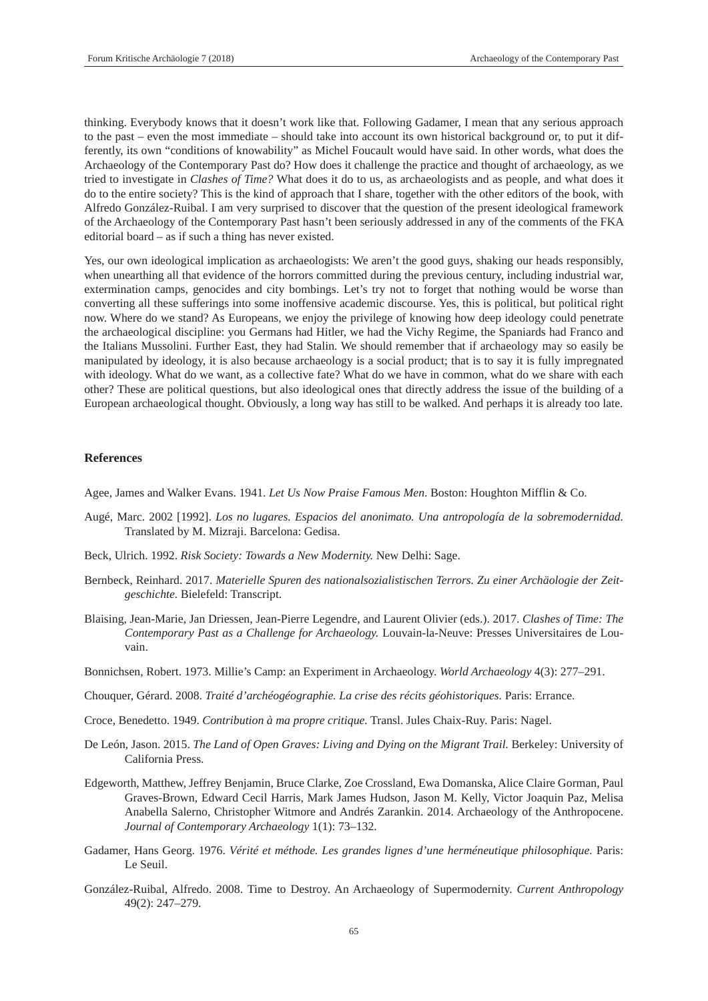thinking. Everybody knows that it doesn't work like that. Following Gadamer, I mean that any serious approach to the past – even the most immediate – should take into account its own historical background or, to put it differently, its own "conditions of knowability" as Michel Foucault would have said. In other words, what does the Archaeology of the Contemporary Past do? How does it challenge the practice and thought of archaeology, as we tried to investigate in *Clashes of Time?* What does it do to us, as archaeologists and as people, and what does it do to the entire society? This is the kind of approach that I share, together with the other editors of the book, with Alfredo González-Ruibal. I am very surprised to discover that the question of the present ideological framework of the Archaeology of the Contemporary Past hasn't been seriously addressed in any of the comments of the FKA editorial board – as if such a thing has never existed.

Yes, our own ideological implication as archaeologists: We aren't the good guys, shaking our heads responsibly, when unearthing all that evidence of the horrors committed during the previous century, including industrial war, extermination camps, genocides and city bombings. Let's try not to forget that nothing would be worse than converting all these sufferings into some inoffensive academic discourse. Yes, this is political, but political right now. Where do we stand? As Europeans, we enjoy the privilege of knowing how deep ideology could penetrate the archaeological discipline: you Germans had Hitler, we had the Vichy Regime, the Spaniards had Franco and the Italians Mussolini. Further East, they had Stalin. We should remember that if archaeology may so easily be manipulated by ideology, it is also because archaeology is a social product; that is to say it is fully impregnated with ideology. What do we want, as a collective fate? What do we have in common, what do we share with each other? These are political questions, but also ideological ones that directly address the issue of the building of a European archaeological thought. Obviously, a long way has still to be walked. And perhaps it is already too late.

# **References**

Agee, James and Walker Evans. 1941. *Let Us Now Praise Famous Men*. Boston: Houghton Mifflin & Co.

- Augé, Marc. 2002 [1992]. *Los no lugares. Espacios del anonimato. Una antropología de la sobremodernidad.*  Translated by M. Mizraji. Barcelona: Gedisa.
- Beck, Ulrich. 1992. *Risk Society: Towards a New Modernity.* New Delhi: Sage.
- Bernbeck, Reinhard. 2017. *Materielle Spuren des nationalsozialistischen Terrors. Zu einer Archäologie der Zeitgeschichte.* Bielefeld: Transcript.
- Blaising, Jean-Marie, Jan Driessen, Jean-Pierre Legendre, and Laurent Olivier (eds.). 2017. *Clashes of Time: The Contemporary Past as a Challenge for Archaeology.* Louvain-la-Neuve: Presses Universitaires de Louvain.
- Bonnichsen, Robert. 1973. Millie's Camp: an Experiment in Archaeology. *World Archaeology* 4(3): 277–291.
- Chouquer, Gérard. 2008. *Traité d'archéogéographie. La crise des récits géohistoriques.* Paris: Errance.
- Croce, Benedetto. 1949. *Contribution à ma propre critique.* Transl. Jules Chaix-Ruy. Paris: Nagel.
- De León, Jason. 2015. *The Land of Open Graves: Living and Dying on the Migrant Trail.* Berkeley: University of California Press.
- Edgeworth, Matthew, Jeffrey Benjamin, Bruce Clarke, Zoe Crossland, Ewa Domanska, Alice Claire Gorman, Paul Graves-Brown, Edward Cecil Harris, Mark James Hudson, Jason M. Kelly, Victor Joaquin Paz, Melisa Anabella Salerno, Christopher Witmore and Andrés Zarankin. 2014. Archaeology of the Anthropocene. *Journal of Contemporary Archaeology* 1(1): 73–132.
- Gadamer, Hans Georg. 1976. *Vérité et méthode. Les grandes lignes d'une herméneutique philosophique.* Paris: Le Seuil.
- González-Ruibal, Alfredo. 2008. Time to Destroy. An Archaeology of Supermodernity. *Current Anthropology*  49(2): 247–279.